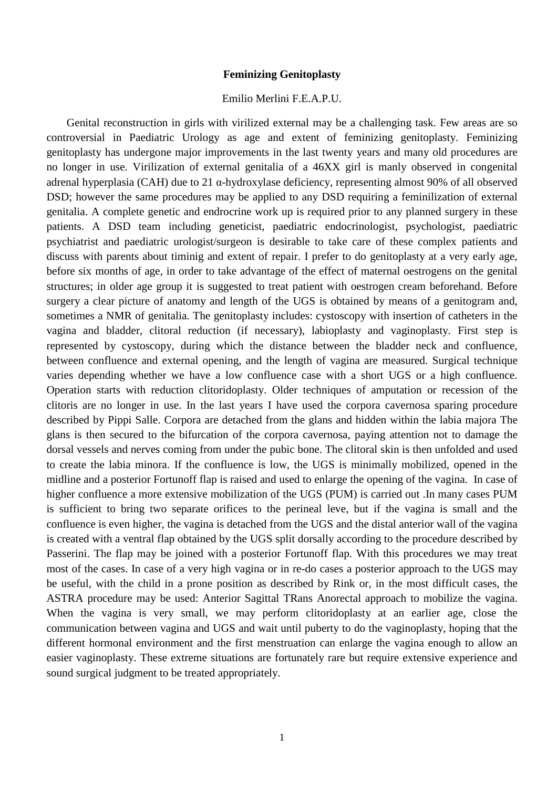## **Feminizing Genitoplasty**

## Emilio Merlini F.E.A.P.U.

Genital reconstruction in girls with virilized external may be a challenging task. Few areas are so controversial in Paediatric Urology as age and extent of feminizing genitoplasty. Feminizing genitoplasty has undergone major improvements in the last twenty years and many old procedures are no longer in use. Virilization of external genitalia of a 46XX girl is manly observed in congenital adrenal hyperplasia (CAH) due to 21 α-hydroxylase deficiency, representing almost 90% of all observed DSD; however the same procedures may be applied to any DSD requiring a feminilization of external genitalia. A complete genetic and endrocrine work up is required prior to any planned surgery in these patients. A DSD team including geneticist, paediatric endocrinologist, psychologist, paediatric psychiatrist and paediatric urologist/surgeon is desirable to take care of these complex patients and discuss with parents about timinig and extent of repair. I prefer to do genitoplasty at a very early age, before six months of age, in order to take advantage of the effect of maternal oestrogens on the genital structures; in older age group it is suggested to treat patient with oestrogen cream beforehand. Before surgery a clear picture of anatomy and length of the UGS is obtained by means of a genitogram and, sometimes a NMR of genitalia. The genitoplasty includes: cystoscopy with insertion of catheters in the vagina and bladder, clitoral reduction (if necessary), labioplasty and vaginoplasty. First step is represented by cystoscopy, during which the distance between the bladder neck and confluence, between confluence and external opening, and the length of vagina are measured. Surgical technique varies depending whether we have a low confluence case with a short UGS or a high confluence. Operation starts with reduction clitoridoplasty. Older techniques of amputation or recession of the clitoris are no longer in use. In the last years I have used the corpora cavernosa sparing procedure described by Pippi Salle. Corpora are detached from the glans and hidden within the labia majora The glans is then secured to the bifurcation of the corpora cavernosa, paying attention not to damage the dorsal vessels and nerves coming from under the pubic bone. The clitoral skin is then unfolded and used to create the labia minora. If the confluence is low, the UGS is minimally mobilized, opened in the midline and a posterior Fortunoff flap is raised and used to enlarge the opening of the vagina. In case of higher confluence a more extensive mobilization of the UGS (PUM) is carried out .In many cases PUM is sufficient to bring two separate orifices to the perineal leve, but if the vagina is small and the confluence is even higher, the vagina is detached from the UGS and the distal anterior wall of the vagina is created with a ventral flap obtained by the UGS split dorsally according to the procedure described by Passerini. The flap may be joined with a posterior Fortunoff flap. With this procedures we may treat most of the cases. In case of a very high vagina or in re-do cases a posterior approach to the UGS may be useful, with the child in a prone position as described by Rink or, in the most difficult cases, the ASTRA procedure may be used: Anterior Sagittal TRans Anorectal approach to mobilize the vagina. When the vagina is very small, we may perform clitoridoplasty at an earlier age, close the communication between vagina and UGS and wait until puberty to do the vaginoplasty, hoping that the different hormonal environment and the first menstruation can enlarge the vagina enough to allow an easier vaginoplasty. These extreme situations are fortunately rare but require extensive experience and sound surgical judgment to be treated appropriately.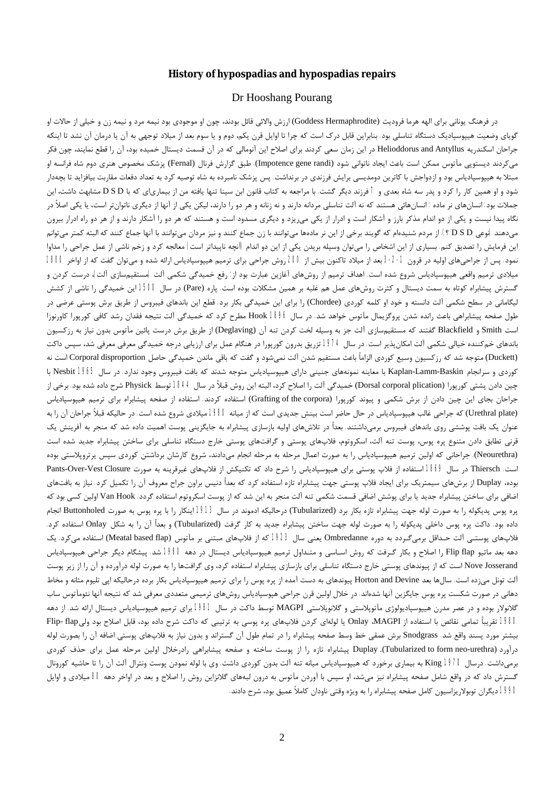#### **History of hypospadias and hypospadias repairs**

#### Dr Hooshang Pourang

در فرهنگ یونانی برای الهه هرما فرودیت (Goddess Hermaphrodite) ارزش والائی قائل بودند، چون او موجودی بود نیمه مرد و نیمه زن و خیلی از حالات او گویاي وضعیت هیپوسپادیک دستگاه تناسلی بود. بنابراین قابل درك است که چرا تا اوایل قرن یکم، دوم و یا سوم بعد از میلاد توجهی به آن یا درمان آن نشد تا اینکه جراحان اسکندریه Antyllus and Helioddorus در این زمان سعی کردند براي اصلاح این آنومالی که در آن قسمت دیستال خمیده بود، آن را قطع نمایند، چون فکر میکردند دیستوپی مآتوس ممکن است باعث ایجاد ناتوانی شود (Impotence gene randi). طبق گزارش فرنال (Fernal) پزشک مخصوص هنری دوم شاه فرانسه او مبتلا به هیپوسپادیاس بود و ازدواجش با کاترین دومدیسی برایش فرزندي در برنداشت. پس پزشک نامبرده به شاه توصیه کرد به تعداد دفعات مقاربت بیافزاید تا بچهدار شود و او همین کار را کرد و پدر سه شاه بعدي و 7 فرزند دیگر گشت. با مراجعه به کتاب قانون ابن سینا تنها یافته من از بیمارياي که با D S D مشابهت داشت، اين جملات بود: انسانهای نر ماده : انسانهائی هستند که نه آلت تناسلی مردانه دارند و نه زنانه و هر دو را دارند، لیکن از آنها از دیگری ناتوانتر است، یا یکی اصلاً در نگاه پیدا نیست و یکی از دو اندام مذکر بارز و آشکار است و ادرار از یکی می $\zeta$ ی میریزد و دیگری مسدود است و هستند که هر دو را آشکار دارند و از هر دو راه ادرار بیرون میدهند (نوعی D S D ؟). از مردم شنیدهام که گویند برخی از این نر مادهها میتوانند با زن جماع کنند و نیز مردان میتوانم ای ازنها جماع کنند که البته کمتر میتوانم این فرمایش را تصدیق کنم. بسیاری از این اشخاص را میتوان وسیله بریدن یکی از این دو اندام (آنچه ناپیداتر است) معالجه کرد و زخم ناشی از عمل جراحی را مداوا نمود. پس از جراحیهاي اولیه در قرون -2-1 3 بعد از میلاد تاکنون بیش از 200 روش جراحی براي ترمیم هیپوسپادیاس ارائه شده و میتوان گفت که از اواخر 1800 میلادي ترمیم واقعی هیپوسپادیاس شروع شده است. اهداف ترمیم از روشهاي آغازین عبارت بود از: رفع خمیدگی شکمی آلت (مستقیمسازي آلت)، درست کردن و گسترش پیشابراه کوتاه به سمت دیستال و کثرت روشهاي عمل هم غلبه بر همین مشکلات بوده است. پاره (Pare (در سال 1500 این خمیدگی را ناشی از کشش لیگامانی در سطح شکمی آلت دانسته و خود او کلمه کوردي (Chordee (را براي این خمیدگی بکار برد. قطع این باندهاي فیبروس از طریق برش پوستی عرضی در طول صفحه پیشابراهی باعث رانده شدن پروگزیمال مآتوس خواهد شد. در سال 1896 Hook مطرح کرد که خمیدگی آلت نتیجه فقدان رشد کافی کورپورا کاورنوزا است Smith و Blackfield گفتند که مستقیمسازي آلت جز به وسیله لخت کردن تنه آن (Deglaving (از طریق برش درست پائین مآتوس بدون نیاز به رزکسیون باندهاي خمکننده خیالی شکمی آلت امکانپذیر است. در سال 1974 تزریق بدرون کورپورا در هنگام عمل براي ارزیابی درجه خمیدگی معرفی معرفی شد، سپس داکت (Duckett) متوجه شد که رزکسیون وسیع کوردی الزاماً باعث مستفیم شدن آلت نمیشود و گفت که باقی ماندن خمیدگی حاصل Corporal disproportion است نه کوردي و سرانجام Baskin-Lamm-Kaplan با معاینه نمونههاي جنینی داراي هیپوسپادیاس متوجه شدند که بافت فیبروس وجود ندارد. در سال 1965 Nesbit با چین دادن پشتی کورپورا (plication corporal Dorsal (خمیدگی آلت را اصلاح کرد، البته این روش قبلاً در سال 1844 توسط Physick شرح داده شده بود. برخی از جراحان بجاي اين چين دادن از برش شکمي و پيوند کورپورا (Grafting of the corpora) استفاده کردند. استفاده از صفحه پيشابراه براي ترميم هيپوسپادياس (plate Urethral (که جراحی غالب هیپوسپادیاس در حال حاضر است بینش جدیدي است که از میانه 1980 میلادي شروع شده است. در حالیکه قبلاً جراحان آن را به عنوان یک بافت پوششی روي باندهاي فیبروس برمیداشتند. بعداً در تلاشهاي اولیه بازسازي پیشابراه به جایگزینی پوست اهمیت داده شد که منجر به آفرینش یک قرنی تطابق دادن متنوع پره پوس، پوست تنه آلت، اسکروتوم، فلاپهاي پوستی و گرافتهاي پوستی خارج دستگاه تناسلی براي ساختن پیشابراه جدید شده است (Neourethra(. جراحانی که اولین ترمیم هیپوسپادیاس را به صورت اعمال مرحله به مرحله انجام میدادند، شروع کارشان برداشتن کوردي سپس یرتروپلاستی بوده است. Thiersch در سال 1869 استفاده از فلاپ پوستی براي هیپوسپادیاس را شرح داد که تکنیکش از فلاپهاي غیرقرینه به صورت Closure Vest-Over-Pants بوده، Duplay از برشهاي سیمتریک براي ایجاد فلاپ پوستی جهت پیشابراه تازه استفاده کرد که بعداً دنیس براون جراح معروف آن را تکمیل کرد. نیاز به بافتهاي اضافی براي ساختن پیشابراه جدید یا براي پوشش اضافی قسمت شکمی تنه آلت منجر به این شد که از پوست اسکروتوم استفاده گردد. Hook Van اولین کسی بود که پره پوس پدیکوله را به صورت لوله جهت پیشابراه تازه بکار برد (Tubularized) درحالیکه ادموند در سال 1913 اینکار را با پره پوس به صورت Buttonholed انجام داده بود. داکت پره پوس داخلی پدیکوله را به صورت لوله جهت ساختن پیشابراه جدید به کار گرفت (Tubularized (و بعداً آن را به شکل Onlay استفاده کرد. فلاپهاي پوستـی آلت حـداقل برمیگـردد به دوره Ombredanne یعنی سال 1923 که از فلاپهاي مبتنی بر مآتوس (flap based Meatal (استفاده میکرد. یک دهه بعد ماتیو flap Flip را اصلاح و بکار گـرفت که روش اسـاسی و متـداول ترمیم هیپوسپادیاس دیستال در دهه 1980 شد. پیشگام دیگر جراحی هیپوسپادیاس Nove Josserand است که از پیوندهاي پوستي خارج دستگاه تناسلي براي بازسازي پیشابراه استفاده کرد، وي گرافتها را به صورت لوله درآورده و آن را از زیر پوست آلت تونل میزده است. سالها بعد Devine and Horton پیوندهاي به دست آمده از پره پوس را براي ترمیم هیپوسپادیاس بکار برده درحالیکه اپی تلیوم مثانه و مخاط دهانی در صورت شکست پره پوس جایگزین آنها شدهاند. در خلال اولین قرن جراحی هپوسپادیاس روشهاي ترمیمی متعددي معرفی شد که نتیجه آنها نئومآتوس ساب گلانولار بوده و در عصر مدرن هیپوسپادیولوژي مآتوپلاستی و گلانوپلاستی MAGPI توسط داکت در سال 1981 براي ترمیم هیپوسپادیاس دیستال ارائه شد. از دهه 1980 تقریباً تمامی نقائص با استفاده از Onlay ،MAGPI یا لولهای کردن فلاپهای پره پوسی به ترتیبی که داکت شرح داده بود، قابل اصلاح بود ولیFlip- flap ا بیشتر مورد پسند واقع شد. Snodgrass برش عمقی خط وسط صفحه پیشابراه را در تمام طول آن گستراند و بدون نیاز به فلاپهاي پوستی اضافه آن را بصورت لوله درآورد (Tubularized to form neo-urethra). Duplay پیشابراه تازه را از پوست ساخته و صفحه پیشابراهی رادرخلال اولین مرحله عمل برای حذف کوردی برمیداشت. درسال 1970 King به بیماري برخورد که هیپوسپادیاس میانه تنه آلت بدون کوردي داشت. وي با لوله نمودن پوست ونترال آلت آن را تا حاشیه کورونال گسترش داد که در واقع شامل صفحه پیشابراه نیز میشد، او سپس با آوردن مآتوس به درون لبههاي گلانزاین روش را اصلاح و بعد در اواخر دهه 80 میلادي و اوایل 1990 دیگران توبولاریزاسیون کامل صفحه پیشابراه را به ویژه وقتی ناودان کاملاً عمیق بود، شرح دادند.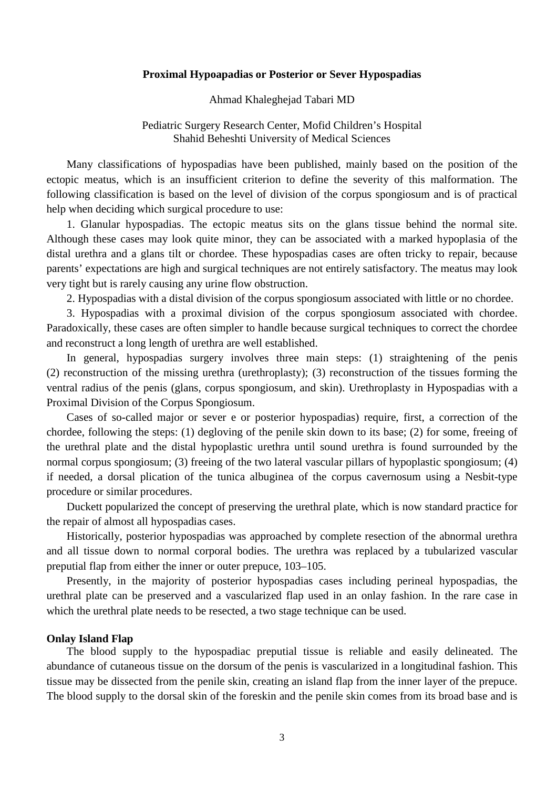#### **Proximal Hypoapadias or Posterior or Sever Hypospadias**

Ahmad Khaleghejad Tabari MD

## Pediatric Surgery Research Center, Mofid Children's Hospital Shahid Beheshti University of Medical Sciences

Many classifications of hypospadias have been published, mainly based on the position of the ectopic meatus, which is an insufficient criterion to define the severity of this malformation. The following classification is based on the level of division of the corpus spongiosum and is of practical help when deciding which surgical procedure to use:

1. Glanular hypospadias. The ectopic meatus sits on the glans tissue behind the normal site. Although these cases may look quite minor, they can be associated with a marked hypoplasia of the distal urethra and a glans tilt or chordee. These hypospadias cases are often tricky to repair, because parents' expectations are high and surgical techniques are not entirely satisfactory. The meatus may look very tight but is rarely causing any urine flow obstruction.

2. Hypospadias with a distal division of the corpus spongiosum associated with little or no chordee.

3. Hypospadias with a proximal division of the corpus spongiosum associated with chordee. Paradoxically, these cases are often simpler to handle because surgical techniques to correct the chordee and reconstruct a long length of urethra are well established.

In general, hypospadias surgery involves three main steps: (1) straightening of the penis (2) reconstruction of the missing urethra (urethroplasty); (3) reconstruction of the tissues forming the ventral radius of the penis (glans, corpus spongiosum, and skin). Urethroplasty in Hypospadias with a Proximal Division of the Corpus Spongiosum.

Cases of so-called major or sever e or posterior hypospadias) require, first, a correction of the chordee, following the steps: (1) degloving of the penile skin down to its base; (2) for some, freeing of the urethral plate and the distal hypoplastic urethra until sound urethra is found surrounded by the normal corpus spongiosum; (3) freeing of the two lateral vascular pillars of hypoplastic spongiosum; (4) if needed, a dorsal plication of the tunica albuginea of the corpus cavernosum using a Nesbit-type procedure or similar procedures.

Duckett popularized the concept of preserving the urethral plate, which is now standard practice for the repair of almost all hypospadias cases.

Historically, posterior hypospadias was approached by complete resection of the abnormal urethra and all tissue down to normal corporal bodies. The urethra was replaced by a tubularized vascular preputial flap from either the inner or outer prepuce, 103–105.

Presently, in the majority of posterior hypospadias cases including perineal hypospadias, the urethral plate can be preserved and a vascularized flap used in an onlay fashion. In the rare case in which the urethral plate needs to be resected, a two stage technique can be used.

## **Onlay Island Flap**

The blood supply to the hypospadiac preputial tissue is reliable and easily delineated. The abundance of cutaneous tissue on the dorsum of the penis is vascularized in a longitudinal fashion. This tissue may be dissected from the penile skin, creating an island flap from the inner layer of the prepuce. The blood supply to the dorsal skin of the foreskin and the penile skin comes from its broad base and is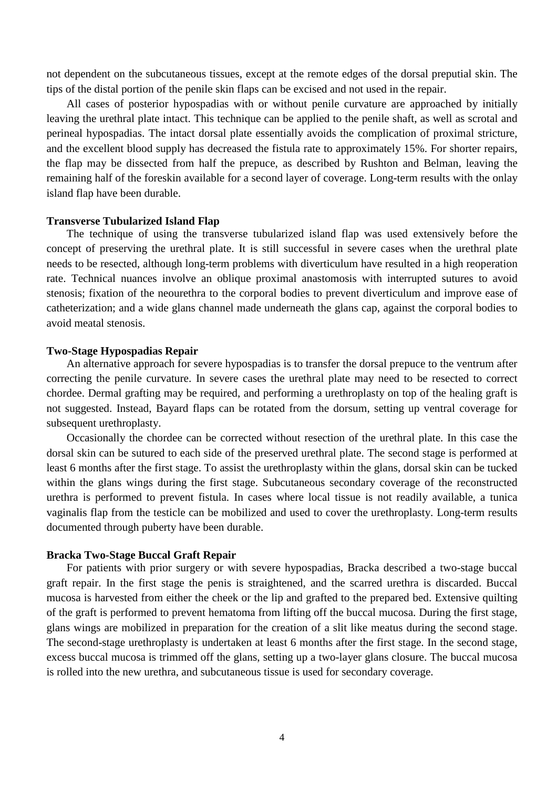not dependent on the subcutaneous tissues, except at the remote edges of the dorsal preputial skin. The tips of the distal portion of the penile skin flaps can be excised and not used in the repair.

All cases of posterior hypospadias with or without penile curvature are approached by initially leaving the urethral plate intact. This technique can be applied to the penile shaft, as well as scrotal and perineal hypospadias. The intact dorsal plate essentially avoids the complication of proximal stricture, and the excellent blood supply has decreased the fistula rate to approximately 15%. For shorter repairs, the flap may be dissected from half the prepuce, as described by Rushton and Belman, leaving the remaining half of the foreskin available for a second layer of coverage. Long-term results with the onlay island flap have been durable.

#### **Transverse Tubularized Island Flap**

The technique of using the transverse tubularized island flap was used extensively before the concept of preserving the urethral plate. It is still successful in severe cases when the urethral plate needs to be resected, although long-term problems with diverticulum have resulted in a high reoperation rate. Technical nuances involve an oblique proximal anastomosis with interrupted sutures to avoid stenosis; fixation of the neourethra to the corporal bodies to prevent diverticulum and improve ease of catheterization; and a wide glans channel made underneath the glans cap, against the corporal bodies to avoid meatal stenosis.

#### **Two-Stage Hypospadias Repair**

An alternative approach for severe hypospadias is to transfer the dorsal prepuce to the ventrum after correcting the penile curvature. In severe cases the urethral plate may need to be resected to correct chordee. Dermal grafting may be required, and performing a urethroplasty on top of the healing graft is not suggested. Instead, Bayard flaps can be rotated from the dorsum, setting up ventral coverage for subsequent urethroplasty.

Occasionally the chordee can be corrected without resection of the urethral plate. In this case the dorsal skin can be sutured to each side of the preserved urethral plate. The second stage is performed at least 6 months after the first stage. To assist the urethroplasty within the glans, dorsal skin can be tucked within the glans wings during the first stage. Subcutaneous secondary coverage of the reconstructed urethra is performed to prevent fistula. In cases where local tissue is not readily available, a tunica vaginalis flap from the testicle can be mobilized and used to cover the urethroplasty. Long-term results documented through puberty have been durable.

#### **Bracka Two-Stage Buccal Graft Repair**

For patients with prior surgery or with severe hypospadias, Bracka described a two-stage buccal graft repair. In the first stage the penis is straightened, and the scarred urethra is discarded. Buccal mucosa is harvested from either the cheek or the lip and grafted to the prepared bed. Extensive quilting of the graft is performed to prevent hematoma from lifting off the buccal mucosa. During the first stage, glans wings are mobilized in preparation for the creation of a slit like meatus during the second stage. The second-stage urethroplasty is undertaken at least 6 months after the first stage. In the second stage, excess buccal mucosa is trimmed off the glans, setting up a two-layer glans closure. The buccal mucosa is rolled into the new urethra, and subcutaneous tissue is used for secondary coverage.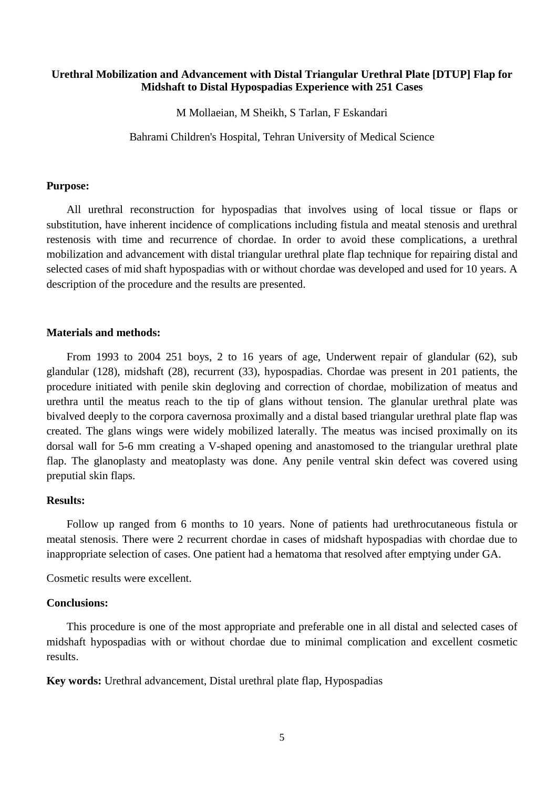## **Urethral Mobilization and Advancement with Distal Triangular Urethral Plate [DTUP] Flap for Midshaft to Distal Hypospadias Experience with 251 Cases**

M Mollaeian, M Sheikh, S Tarlan, F Eskandari

Bahrami Children's Hospital, Tehran University of Medical Science

#### **Purpose:**

All urethral reconstruction for hypospadias that involves using of local tissue or flaps or substitution, have inherent incidence of complications including fistula and meatal stenosis and urethral restenosis with time and recurrence of chordae. In order to avoid these complications, a urethral mobilization and advancement with distal triangular urethral plate flap technique for repairing distal and selected cases of mid shaft hypospadias with or without chordae was developed and used for 10 years. A description of the procedure and the results are presented.

# **Materials and methods:**

From 1993 to 2004 251 boys, 2 to 16 years of age, Underwent repair of glandular (62), sub glandular (128), midshaft (28), recurrent (33), hypospadias. Chordae was present in 201 patients, the procedure initiated with penile skin degloving and correction of chordae, mobilization of meatus and urethra until the meatus reach to the tip of glans without tension. The glanular urethral plate was bivalved deeply to the corpora cavernosa proximally and a distal based triangular urethral plate flap was created. The glans wings were widely mobilized laterally. The meatus was incised proximally on its dorsal wall for 5-6 mm creating a V-shaped opening and anastomosed to the triangular urethral plate flap. The glanoplasty and meatoplasty was done. Any penile ventral skin defect was covered using preputial skin flaps.

## **Results:**

Follow up ranged from 6 months to 10 years. None of patients had urethrocutaneous fistula or meatal stenosis. There were 2 recurrent chordae in cases of midshaft hypospadias with chordae due to inappropriate selection of cases. One patient had a hematoma that resolved after emptying under GA.

Cosmetic results were excellent.

#### **Conclusions:**

This procedure is one of the most appropriate and preferable one in all distal and selected cases of midshaft hypospadias with or without chordae due to minimal complication and excellent cosmetic results.

**Key words:** Urethral advancement, Distal urethral plate flap, Hypospadias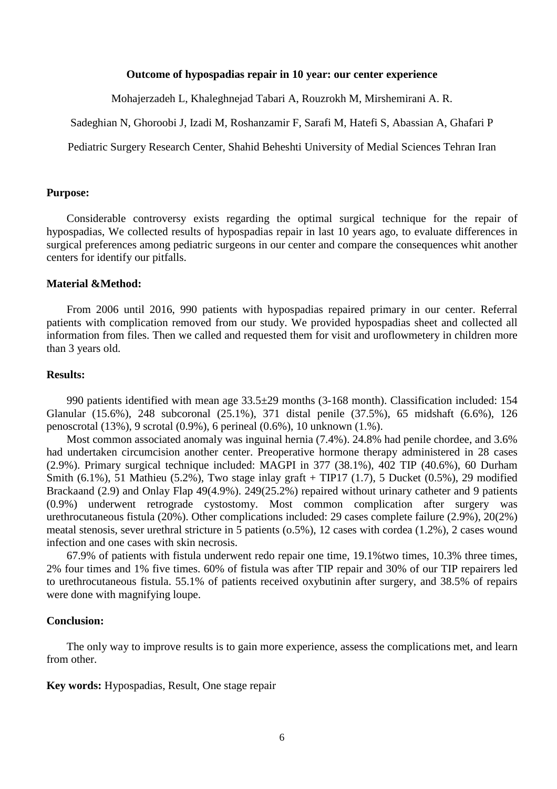#### **Outcome of hypospadias repair in 10 year: our center experience**

Mohajerzadeh L, Khaleghnejad Tabari A, Rouzrokh M, Mirshemirani A. R.

Sadeghian N, Ghoroobi J, Izadi M, Roshanzamir F, Sarafi M, Hatefi S, Abassian A, Ghafari P

Pediatric Surgery Research Center, Shahid Beheshti University of Medial Sciences Tehran Iran

#### **Purpose:**

Considerable controversy exists regarding the optimal surgical technique for the repair of hypospadias, We collected results of hypospadias repair in last 10 years ago, to evaluate differences in surgical preferences among pediatric surgeons in our center and compare the consequences whit another centers for identify our pitfalls.

# **Material &Method:**

From 2006 until 2016, 990 patients with hypospadias repaired primary in our center. Referral patients with complication removed from our study. We provided hypospadias sheet and collected all information from files. Then we called and requested them for visit and uroflowmetery in children more than 3 years old.

#### **Results:**

990 patients identified with mean age 33.5±29 months (3-168 month). Classification included: 154 Glanular (15.6%), 248 subcoronal (25.1%), 371 distal penile (37.5%), 65 midshaft (6.6%), 126 penoscrotal (13%), 9 scrotal (0.9%), 6 perineal (0.6%), 10 unknown (1.%).

Most common associated anomaly was inguinal hernia (7.4%). 24.8% had penile chordee, and 3.6% had undertaken circumcision another center. Preoperative hormone therapy administered in 28 cases (2.9%). Primary surgical technique included: MAGPI in 377 (38.1%), 402 TIP (40.6%), 60 Durham Smith (6.1%), 51 Mathieu (5.2%), Two stage inlay graft + TIP17 (1.7), 5 Ducket (0.5%), 29 modified Brackaand (2.9) and Onlay Flap 49(4.9%). 249(25.2%) repaired without urinary catheter and 9 patients (0.9%) underwent retrograde cystostomy. Most common complication after surgery was urethrocutaneous fistula (20%). Other complications included: 29 cases complete failure (2.9%), 20(2%) meatal stenosis, sever urethral stricture in 5 patients (o.5%), 12 cases with cordea (1.2%), 2 cases wound infection and one cases with skin necrosis.

67.9% of patients with fistula underwent redo repair one time, 19.1%two times, 10.3% three times, 2% four times and 1% five times. 60% of fistula was after TIP repair and 30% of our TIP repairers led to urethrocutaneous fistula. 55.1% of patients received oxybutinin after surgery, and 38.5% of repairs were done with magnifying loupe.

#### **Conclusion:**

The only way to improve results is to gain more experience, assess the complications met, and learn from other.

**Key words:** Hypospadias, Result, One stage repair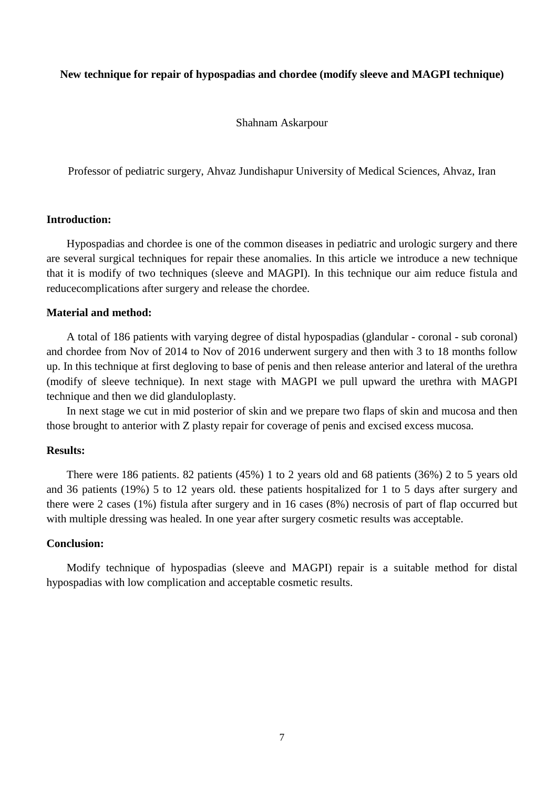## **New technique for repair of hypospadias and chordee (modify sleeve and MAGPI technique)**

Shahnam Askarpour

Professor of pediatric surgery, Ahvaz Jundishapur University of Medical Sciences, Ahvaz, Iran

## **Introduction:**

Hypospadias and chordee is one of the common diseases in pediatric and urologic surgery and there are several surgical techniques for repair these anomalies. In this article we introduce a new technique that it is modify of two techniques (sleeve and MAGPI). In this technique our aim reduce fistula and reducecomplications after surgery and release the chordee.

# **Material and method:**

A total of 186 patients with varying degree of distal hypospadias (glandular - coronal - sub coronal) and chordee from Nov of 2014 to Nov of 2016 underwent surgery and then with 3 to 18 months follow up. In this technique at first degloving to base of penis and then release anterior and lateral of the urethra (modify of sleeve technique). In next stage with MAGPI we pull upward the urethra with MAGPI technique and then we did glanduloplasty.

In next stage we cut in mid posterior of skin and we prepare two flaps of skin and mucosa and then those brought to anterior with Z plasty repair for coverage of penis and excised excess mucosa.

# **Results:**

There were 186 patients. 82 patients (45%) 1 to 2 years old and 68 patients (36%) 2 to 5 years old and 36 patients (19%) 5 to 12 years old. these patients hospitalized for 1 to 5 days after surgery and there were 2 cases (1%) fistula after surgery and in 16 cases (8%) necrosis of part of flap occurred but with multiple dressing was healed. In one year after surgery cosmetic results was acceptable.

## **Conclusion:**

Modify technique of hypospadias (sleeve and MAGPI) repair is a suitable method for distal hypospadias with low complication and acceptable cosmetic results.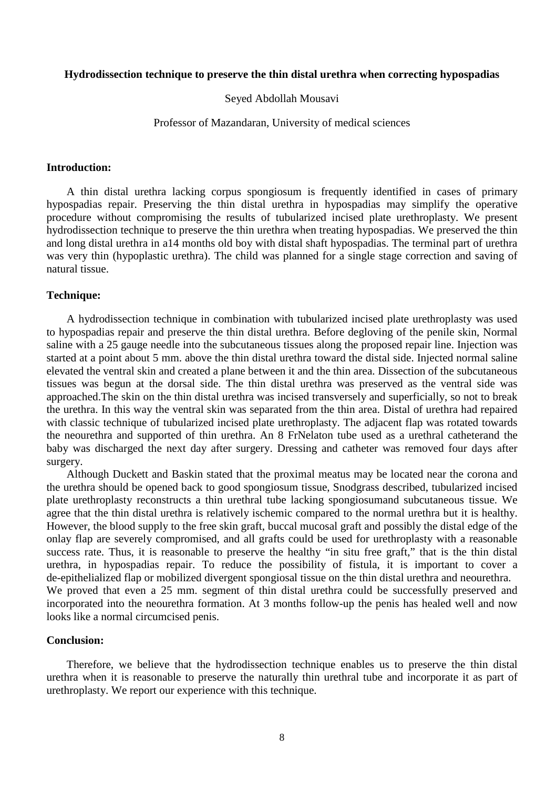#### **Hydrodissection technique to preserve the thin distal urethra when correcting hypospadias**

## Seyed Abdollah Mousavi

#### Professor of Mazandaran, University of medical sciences

#### **Introduction:**

A thin distal urethra lacking corpus spongiosum is frequently identified in cases of primary hypospadias repair. Preserving the thin distal urethra in hypospadias may simplify the operative procedure without compromising the results of tubularized incised plate urethroplasty. We present hydrodissection technique to preserve the thin urethra when treating hypospadias. We preserved the thin and long distal urethra in a14 months old boy with distal shaft hypospadias. The terminal part of urethra was very thin (hypoplastic urethra). The child was planned for a single stage correction and saving of natural tissue.

# **Technique:**

A hydrodissection technique in combination with tubularized incised plate urethroplasty was used to hypospadias repair and preserve the thin distal urethra. Before degloving of the penile skin, Normal saline with a 25 gauge needle into the subcutaneous tissues along the proposed repair line. Injection was started at a point about 5 mm. above the thin distal urethra toward the distal side. Injected normal saline elevated the ventral skin and created a plane between it and the thin area. Dissection of the subcutaneous tissues was begun at the dorsal side. The thin distal urethra was preserved as the ventral side was approached.The skin on the thin distal urethra was incised transversely and superficially, so not to break the urethra. In this way the ventral skin was separated from the thin area. Distal of urethra had repaired with classic technique of tubularized incised plate urethroplasty. The adjacent flap was rotated towards the neourethra and supported of thin urethra. An 8 FrNelaton tube used as a urethral catheterand the baby was discharged the next day after surgery. Dressing and catheter was removed four days after surgery.

Although Duckett and Baskin stated that the proximal meatus may be located near the corona and the urethra should be opened back to good spongiosum tissue, Snodgrass described, tubularized incised plate urethroplasty reconstructs a thin urethral tube lacking spongiosumand subcutaneous tissue. We agree that the thin distal urethra is relatively ischemic compared to the normal urethra but it is healthy. However, the blood supply to the free skin graft, buccal mucosal graft and possibly the distal edge of the onlay flap are severely compromised, and all grafts could be used for urethroplasty with a reasonable success rate. Thus, it is reasonable to preserve the healthy "in situ free graft," that is the thin distal urethra, in hypospadias repair. To reduce the possibility of fistula, it is important to cover a de-epithelialized flap or mobilized divergent spongiosal tissue on the thin distal urethra and neourethra. We proved that even a 25 mm. segment of thin distal urethra could be successfully preserved and incorporated into the neourethra formation. At 3 months follow-up the penis has healed well and now looks like a normal circumcised penis.

## **Conclusion:**

Therefore, we believe that the hydrodissection technique enables us to preserve the thin distal urethra when it is reasonable to preserve the naturally thin urethral tube and incorporate it as part of urethroplasty. We report our experience with this technique.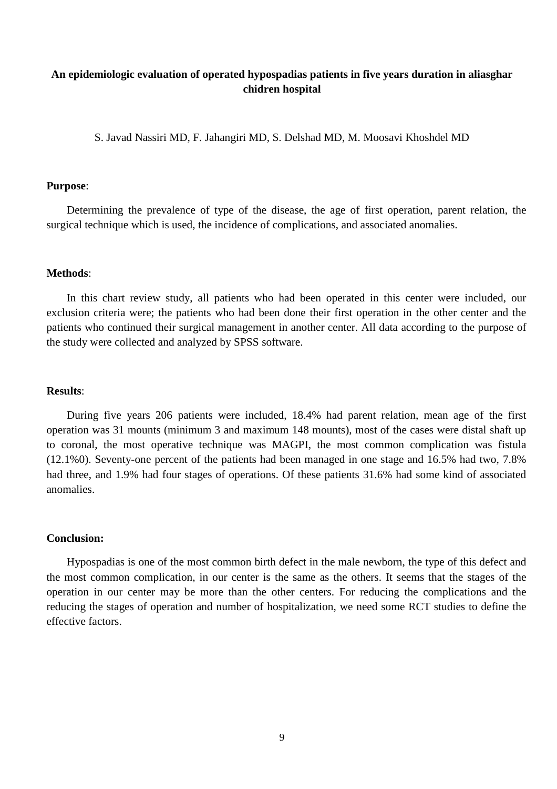# **An epidemiologic evaluation of operated hypospadias patients in five years duration in aliasghar chidren hospital**

S. Javad Nassiri MD, F. Jahangiri MD, S. Delshad MD, M. Moosavi Khoshdel MD

#### **Purpose**:

Determining the prevalence of type of the disease, the age of first operation, parent relation, the surgical technique which is used, the incidence of complications, and associated anomalies.

#### **Methods**:

In this chart review study, all patients who had been operated in this center were included, our exclusion criteria were; the patients who had been done their first operation in the other center and the patients who continued their surgical management in another center. All data according to the purpose of the study were collected and analyzed by SPSS software.

#### **Results**:

During five years 206 patients were included, 18.4% had parent relation, mean age of the first operation was 31 mounts (minimum 3 and maximum 148 mounts), most of the cases were distal shaft up to coronal, the most operative technique was MAGPI, the most common complication was fistula (12.1%0). Seventy-one percent of the patients had been managed in one stage and 16.5% had two, 7.8% had three, and 1.9% had four stages of operations. Of these patients 31.6% had some kind of associated anomalies.

## **Conclusion:**

Hypospadias is one of the most common birth defect in the male newborn, the type of this defect and the most common complication, in our center is the same as the others. It seems that the stages of the operation in our center may be more than the other centers. For reducing the complications and the reducing the stages of operation and number of hospitalization, we need some RCT studies to define the effective factors.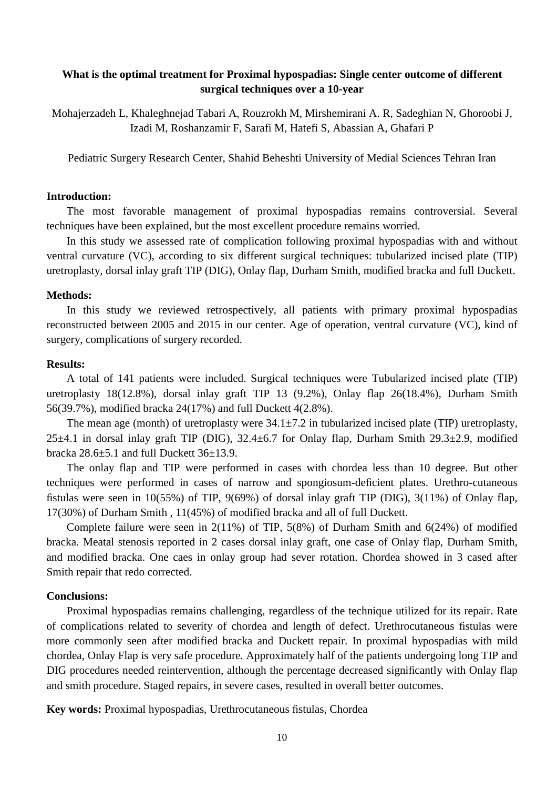# **What is the optimal treatment for Proximal hypospadias: Single center outcome of different surgical techniques over a 10-year**

Mohajerzadeh L, Khaleghnejad Tabari A, Rouzrokh M, Mirshemirani A. R, Sadeghian N, Ghoroobi J, Izadi M, Roshanzamir F, Sarafi M, Hatefi S, Abassian A, Ghafari P

Pediatric Surgery Research Center, Shahid Beheshti University of Medial Sciences Tehran Iran

## **Introduction:**

The most favorable management of proximal hypospadias remains controversial. Several techniques have been explained, but the most excellent procedure remains worried.

In this study we assessed rate of complication following proximal hypospadias with and without ventral curvature (VC), according to six different surgical techniques: tubularized incised plate (TIP) uretroplasty, dorsal inlay graft TIP (DIG), Onlay flap, Durham Smith, modified bracka and full Duckett.

#### **Methods:**

In this study we reviewed retrospectively, all patients with primary proximal hypospadias reconstructed between 2005 and 2015 in our center. Age of operation, ventral curvature (VC), kind of surgery, complications of surgery recorded.

# **Results:**

A total of 141 patients were included. Surgical techniques were Tubularized incised plate (TIP) uretroplasty 18(12.8%), dorsal inlay graft TIP 13 (9.2%), Onlay flap 26(18.4%), Durham Smith 56(39.7%), modified bracka 24(17%) and full Duckett 4(2.8%).

The mean age (month) of uretroplasty were  $34.1 \pm 7.2$  in tubularized incised plate (TIP) uretroplasty,  $25\pm4.1$  in dorsal inlay graft TIP (DIG),  $32.4\pm6.7$  for Onlay flap, Durham Smith  $29.3\pm2.9$ , modified bracka 28.6±5.1 and full Duckett 36±13.9.

The onlay flap and TIP were performed in cases with chordea less than 10 degree. But other techniques were performed in cases of narrow and spongiosum-deficient plates. Urethro-cutaneous fistulas were seen in 10(55%) of TIP, 9(69%) of dorsal inlay graft TIP (DIG), 3(11%) of Onlay flap, 17(30%) of Durham Smith , 11(45%) of modified bracka and all of full Duckett.

Complete failure were seen in 2(11%) of TIP, 5(8%) of Durham Smith and 6(24%) of modified bracka. Meatal stenosis reported in 2 cases dorsal inlay graft, one case of Onlay flap, Durham Smith, and modified bracka. One caes in onlay group had sever rotation. Chordea showed in 3 cased after Smith repair that redo corrected.

## **Conclusions:**

Proximal hypospadias remains challenging, regardless of the technique utilized for its repair. Rate of complications related to severity of chordea and length of defect. Urethrocutaneous fistulas were more commonly seen after modified bracka and Duckett repair. In proximal hypospadias with mild chordea, Onlay Flap is very safe procedure. Approximately half of the patients undergoing long TIP and DIG procedures needed reintervention, although the percentage decreased significantly with Onlay flap and smith procedure. Staged repairs, in severe cases, resulted in overall better outcomes.

**Key words:** Proximal hypospadias, Urethrocutaneous fistulas, Chordea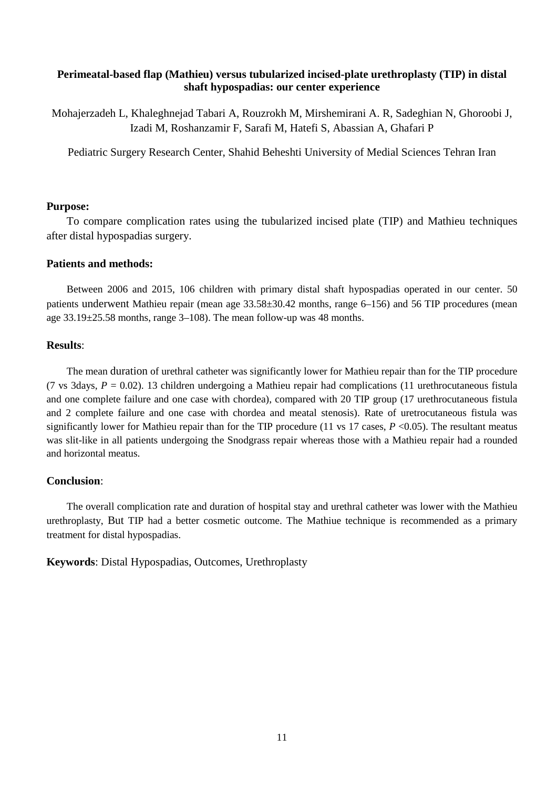# **Perimeatal-based flap (Mathieu) versus tubularized incised-plate urethroplasty (TIP) in distal shaft hypospadias: our center experience**

Mohajerzadeh L, Khaleghnejad Tabari A, Rouzrokh M, Mirshemirani A. R, Sadeghian N, Ghoroobi J, Izadi M, Roshanzamir F, Sarafi M, Hatefi S, Abassian A, Ghafari P

Pediatric Surgery Research Center, Shahid Beheshti University of Medial Sciences Tehran Iran

#### **Purpose:**

To compare complication rates using the tubularized incised plate (TIP) and Mathieu techniques after distal hypospadias surgery.

# **Patients and methods:**

Between 2006 and 2015, 106 children with primary distal shaft hypospadias operated in our center. 50 patients underwent Mathieu repair (mean age 33.58±30.42 months, range 6–156) and 56 TIP procedures (mean age  $33.19\pm25.58$  months, range  $3-108$ ). The mean follow-up was 48 months.

#### **Results**:

The mean duration of urethral catheter was significantly lower for Mathieu repair than for the TIP procedure (7 vs 3days,  $P = 0.02$ ). 13 children undergoing a Mathieu repair had complications (11 urethrocutaneous fistula and one complete failure and one case with chordea), compared with 20 TIP group (17 urethrocutaneous fistula and 2 complete failure and one case with chordea and meatal stenosis). Rate of uretrocutaneous fistula was significantly lower for Mathieu repair than for the TIP procedure (11 vs 17 cases,  $P \le 0.05$ ). The resultant meatus was slit-like in all patients undergoing the Snodgrass repair whereas those with a Mathieu repair had a rounded and horizontal meatus.

#### **Conclusion**:

The overall complication rate and duration of hospital stay and urethral catheter was lower with the Mathieu urethroplasty, But TIP had a better cosmetic outcome. The Mathiue technique is recommended as a primary treatment for distal hypospadias.

**Keywords**: Distal Hypospadias, Outcomes, Urethroplasty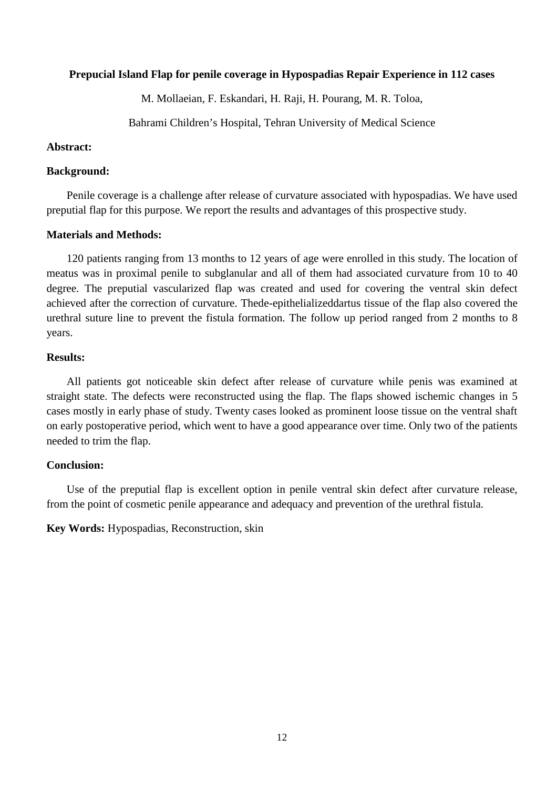## **Prepucial Island Flap for penile coverage in Hypospadias Repair Experience in 112 cases**

M. Mollaeian, F. Eskandari, H. Raji, H. Pourang, M. R. Toloa,

Bahrami Children's Hospital, Tehran University of Medical Science

## **Abstract:**

## **Background:**

Penile coverage is a challenge after release of curvature associated with hypospadias. We have used preputial flap for this purpose. We report the results and advantages of this prospective study.

## **Materials and Methods:**

120 patients ranging from 13 months to 12 years of age were enrolled in this study. The location of meatus was in proximal penile to subglanular and all of them had associated curvature from 10 to 40 degree. The preputial vascularized flap was created and used for covering the ventral skin defect achieved after the correction of curvature. Thede-epithelializeddartus tissue of the flap also covered the urethral suture line to prevent the fistula formation. The follow up period ranged from 2 months to 8 years.

## **Results:**

All patients got noticeable skin defect after release of curvature while penis was examined at straight state. The defects were reconstructed using the flap. The flaps showed ischemic changes in 5 cases mostly in early phase of study. Twenty cases looked as prominent loose tissue on the ventral shaft on early postoperative period, which went to have a good appearance over time. Only two of the patients needed to trim the flap.

# **Conclusion:**

Use of the preputial flap is excellent option in penile ventral skin defect after curvature release, from the point of cosmetic penile appearance and adequacy and prevention of the urethral fistula.

**Key Words:** Hypospadias, Reconstruction, skin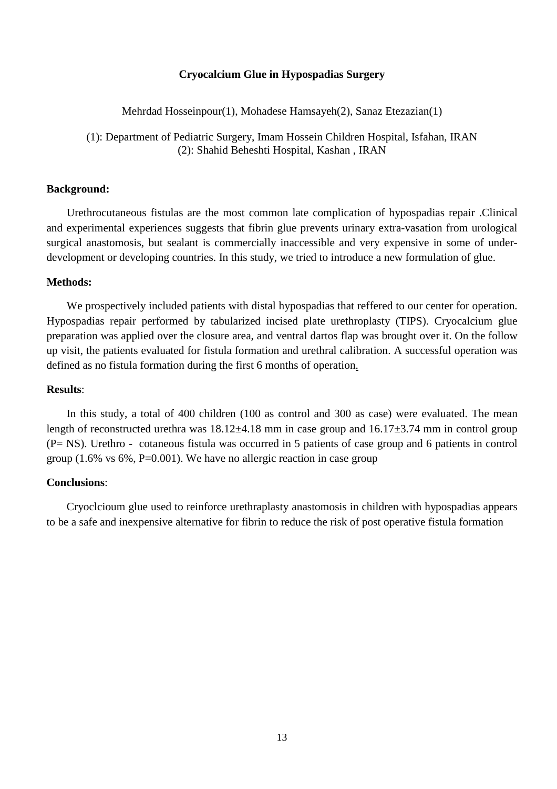## **Cryocalcium Glue in Hypospadias Surgery**

Mehrdad Hosseinpour(1), Mohadese Hamsayeh(2), Sanaz Etezazian(1)

(1): Department of Pediatric Surgery, Imam Hossein Children Hospital, Isfahan, IRAN (2): Shahid Beheshti Hospital, Kashan , IRAN

## **Background:**

Urethrocutaneous fistulas are the most common late complication of hypospadias repair .Clinical and experimental experiences suggests that fibrin glue prevents urinary extra-vasation from urological surgical anastomosis, but sealant is commercially inaccessible and very expensive in some of underdevelopment or developing countries. In this study, we tried to introduce a new formulation of glue.

## **Methods:**

We prospectively included patients with distal hypospadias that reffered to our center for operation. Hypospadias repair performed by tabularized incised plate urethroplasty (TIPS). Cryocalcium glue preparation was applied over the closure area, and ventral dartos flap was brought over it. On the follow up visit, the patients evaluated for fistula formation and urethral calibration. A successful operation was defined as no fistula formation during the first 6 months of operation.

#### **Results**:

In this study, a total of 400 children (100 as control and 300 as case) were evaluated. The mean length of reconstructed urethra was 18.12±4.18 mm in case group and 16.17±3.74 mm in control group (P= NS). Urethro - cotaneous fistula was occurred in 5 patients of case group and 6 patients in control group  $(1.6\% \text{ vs } 6\%, \text{P=0.001})$ . We have no allergic reaction in case group

#### **Conclusions**:

Cryoclcioum glue used to reinforce urethraplasty anastomosis in children with hypospadias appears to be a safe and inexpensive alternative for fibrin to reduce the risk of post operative fistula formation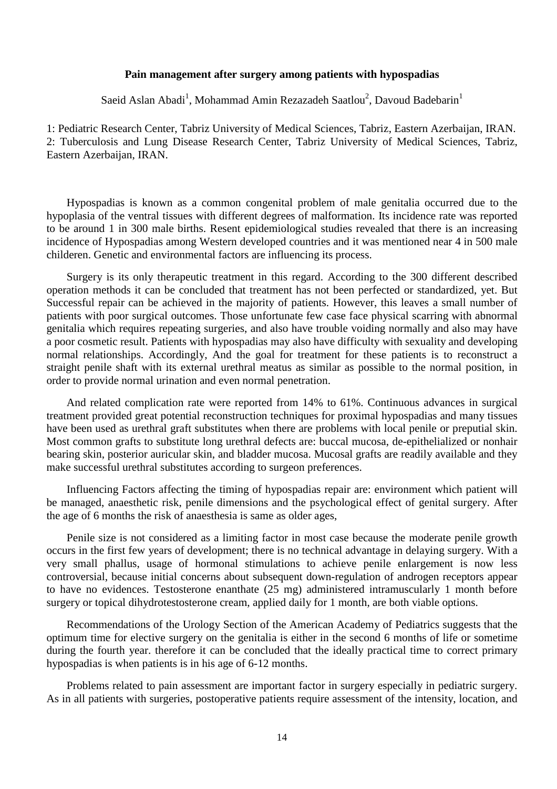## **Pain management after surgery among patients with hypospadias**

Saeid Aslan Abadi<sup>1</sup>, Mohammad Amin Rezazadeh Saatlou<sup>2</sup>, Davoud Badebarin<sup>1</sup>

1: Pediatric Research Center, Tabriz University of Medical Sciences, Tabriz, Eastern Azerbaijan, IRAN. 2: Tuberculosis and Lung Disease Research Center, Tabriz University of Medical Sciences, Tabriz, Eastern Azerbaijan, IRAN.

Hypospadias is known as a common congenital problem of male genitalia occurred due to the hypoplasia of the ventral tissues with different degrees of malformation. Its incidence rate was reported to be around 1 in 300 male births. Resent epidemiological studies revealed that there is an increasing incidence of Hypospadias among Western developed countries and it was mentioned near 4 in 500 male childeren. Genetic and environmental factors are influencing its process.

Surgery is its only therapeutic treatment in this regard. According to the 300 different described operation methods it can be concluded that treatment has not been perfected or standardized, yet. But Successful repair can be achieved in the majority of patients. However, this leaves a small number of patients with poor surgical outcomes. Those unfortunate few case face physical scarring with abnormal genitalia which requires repeating surgeries, and also have trouble voiding normally and also may have a poor cosmetic result. Patients with hypospadias may also have difficulty with sexuality and developing normal relationships. Accordingly, And the goal for treatment for these patients is to reconstruct a straight penile shaft with its external urethral meatus as similar as possible to the normal position, in order to provide normal urination and even normal penetration.

And related complication rate were reported from 14% to 61%. Continuous advances in surgical treatment provided great potential reconstruction techniques for proximal hypospadias and many tissues have been used as urethral graft substitutes when there are problems with local penile or preputial skin. Most common grafts to substitute long urethral defects are: buccal mucosa, de-epithelialized or nonhair bearing skin, posterior auricular skin, and bladder mucosa. Mucosal grafts are readily available and they make successful urethral substitutes according to surgeon preferences.

Influencing Factors affecting the timing of hypospadias repair are: environment which patient will be managed, anaesthetic risk, penile dimensions and the psychological effect of genital surgery. After the age of 6 months the risk of anaesthesia is same as older ages,

Penile size is not considered as a limiting factor in most case because the moderate penile growth occurs in the first few years of development; there is no technical advantage in delaying surgery. With a very small phallus, usage of hormonal stimulations to achieve penile enlargement is now less controversial, because initial concerns about subsequent down-regulation of androgen receptors appear to have no evidences. Testosterone enanthate (25 mg) administered intramuscularly 1 month before surgery or topical dihydrotestosterone cream, applied daily for 1 month, are both viable options.

Recommendations of the Urology Section of the American Academy of Pediatrics suggests that the optimum time for elective surgery on the genitalia is either in the second 6 months of life or sometime during the fourth year. therefore it can be concluded that the ideally practical time to correct primary hypospadias is when patients is in his age of 6-12 months.

Problems related to pain assessment are important factor in surgery especially in pediatric surgery. As in all patients with surgeries, postoperative patients require assessment of the intensity, location, and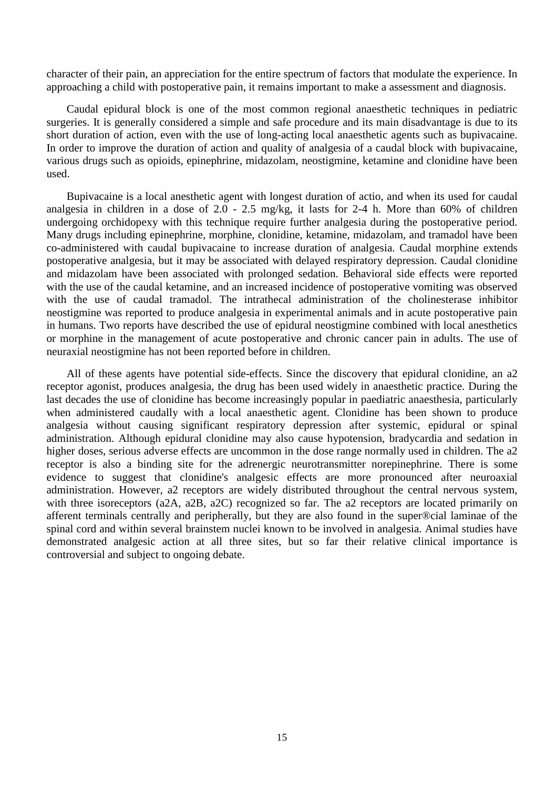character of their pain, an appreciation for the entire spectrum of factors that modulate the experience. In approaching a child with postoperative pain, it remains important to make a assessment and diagnosis.

Caudal epidural block is one of the most common regional anaesthetic techniques in pediatric surgeries. It is generally considered a simple and safe procedure and its main disadvantage is due to its short duration of action, even with the use of long-acting local anaesthetic agents such as bupivacaine. In order to improve the duration of action and quality of analgesia of a caudal block with bupivacaine, various drugs such as opioids, epinephrine, midazolam, neostigmine, ketamine and clonidine have been used.

Bupivacaine is a local anesthetic agent with longest duration of actio, and when its used for caudal analgesia in children in a dose of 2.0 - 2.5 mg/kg, it lasts for 2-4 h. More than 60% of children undergoing orchidopexy with this technique require further analgesia during the postoperative period. Many drugs including epinephrine, morphine, clonidine, ketamine, midazolam, and tramadol have been co-administered with caudal bupivacaine to increase duration of analgesia. Caudal morphine extends postoperative analgesia, but it may be associated with delayed respiratory depression. Caudal clonidine and midazolam have been associated with prolonged sedation. Behavioral side effects were reported with the use of the caudal ketamine, and an increased incidence of postoperative vomiting was observed with the use of caudal tramadol. The intrathecal administration of the cholinesterase inhibitor neostigmine was reported to produce analgesia in experimental animals and in acute postoperative pain in humans. Two reports have described the use of epidural neostigmine combined with local anesthetics or morphine in the management of acute postoperative and chronic cancer pain in adults. The use of neuraxial neostigmine has not been reported before in children.

All of these agents have potential side-effects. Since the discovery that epidural clonidine, an a2 receptor agonist, produces analgesia, the drug has been used widely in anaesthetic practice. During the last decades the use of clonidine has become increasingly popular in paediatric anaesthesia, particularly when administered caudally with a local anaesthetic agent. Clonidine has been shown to produce analgesia without causing significant respiratory depression after systemic, epidural or spinal administration. Although epidural clonidine may also cause hypotension, bradycardia and sedation in higher doses, serious adverse effects are uncommon in the dose range normally used in children. The a2 receptor is also a binding site for the adrenergic neurotransmitter norepinephrine. There is some evidence to suggest that clonidine's analgesic effects are more pronounced after neuroaxial administration. However, a2 receptors are widely distributed throughout the central nervous system, with three isoreceptors (a2A, a2B, a2C) recognized so far. The a2 receptors are located primarily on afferent terminals centrally and peripherally, but they are also found in the super®cial laminae of the spinal cord and within several brainstem nuclei known to be involved in analgesia. Animal studies have demonstrated analgesic action at all three sites, but so far their relative clinical importance is controversial and subject to ongoing debate.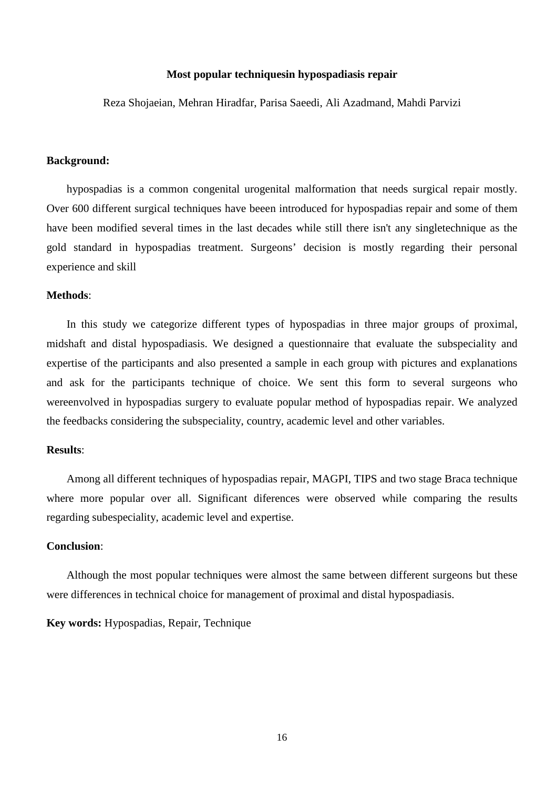## **Most popular techniquesin hypospadiasis repair**

Reza Shojaeian, Mehran Hiradfar, Parisa Saeedi, Ali Azadmand, Mahdi Parvizi

#### **Background:**

hypospadias is a common congenital urogenital malformation that needs surgical repair mostly. Over 600 different surgical techniques have beeen introduced for hypospadias repair and some of them have been modified several times in the last decades while still there isn't any singletechnique as the gold standard in hypospadias treatment. Surgeons' decision is mostly regarding their personal experience and skill

## **Methods**:

In this study we categorize different types of hypospadias in three major groups of proximal, midshaft and distal hypospadiasis. We designed a questionnaire that evaluate the subspeciality and expertise of the participants and also presented a sample in each group with pictures and explanations and ask for the participants technique of choice. We sent this form to several surgeons who wereenvolved in hypospadias surgery to evaluate popular method of hypospadias repair. We analyzed the feedbacks considering the subspeciality, country, academic level and other variables.

#### **Results**:

Among all different techniques of hypospadias repair, MAGPI, TIPS and two stage Braca technique where more popular over all. Significant diferences were observed while comparing the results regarding subespeciality, academic level and expertise.

## **Conclusion**:

Although the most popular techniques were almost the same between different surgeons but these were differences in technical choice for management of proximal and distal hypospadiasis.

## **Key words:** Hypospadias, Repair, Technique

16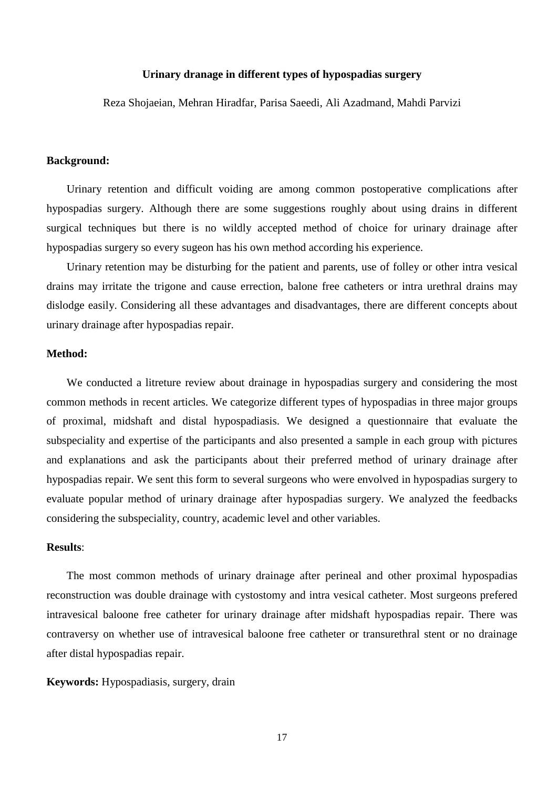## **Urinary dranage in different types of hypospadias surgery**

Reza Shojaeian, Mehran Hiradfar, Parisa Saeedi, Ali Azadmand, Mahdi Parvizi

#### **Background:**

Urinary retention and difficult voiding are among common postoperative complications after hypospadias surgery. Although there are some suggestions roughly about using drains in different surgical techniques but there is no wildly accepted method of choice for urinary drainage after hypospadias surgery so every sugeon has his own method according his experience.

Urinary retention may be disturbing for the patient and parents, use of folley or other intra vesical drains may irritate the trigone and cause errection, balone free catheters or intra urethral drains may dislodge easily. Considering all these advantages and disadvantages, there are different concepts about urinary drainage after hypospadias repair.

## **Method:**

We conducted a litreture review about drainage in hypospadias surgery and considering the most common methods in recent articles. We categorize different types of hypospadias in three major groups of proximal, midshaft and distal hypospadiasis. We designed a questionnaire that evaluate the subspeciality and expertise of the participants and also presented a sample in each group with pictures and explanations and ask the participants about their preferred method of urinary drainage after hypospadias repair. We sent this form to several surgeons who were envolved in hypospadias surgery to evaluate popular method of urinary drainage after hypospadias surgery. We analyzed the feedbacks considering the subspeciality, country, academic level and other variables.

#### **Results**:

The most common methods of urinary drainage after perineal and other proximal hypospadias reconstruction was double drainage with cystostomy and intra vesical catheter. Most surgeons prefered intravesical baloone free catheter for urinary drainage after midshaft hypospadias repair. There was contraversy on whether use of intravesical baloone free catheter or transurethral stent or no drainage after distal hypospadias repair.

## **Keywords:** Hypospadiasis, surgery, drain

17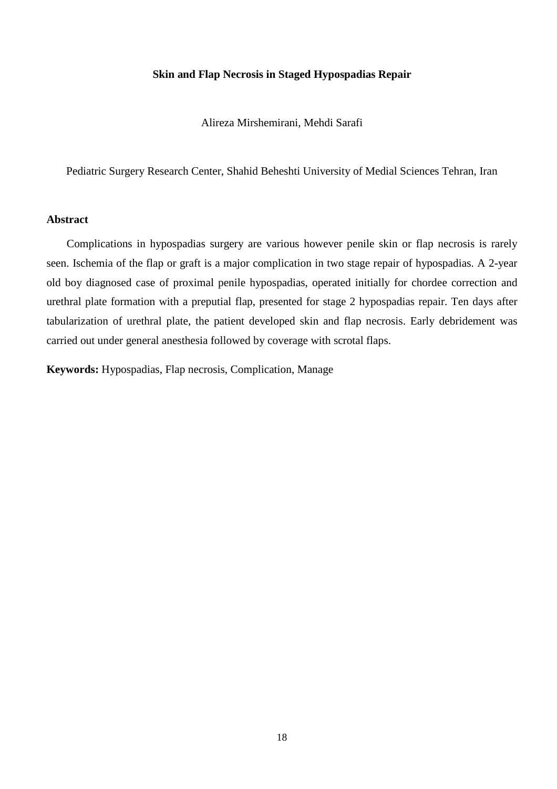## **Skin and Flap Necrosis in Staged Hypospadias Repair**

Alireza Mirshemirani, Mehdi Sarafi

Pediatric Surgery Research Center, Shahid Beheshti University of Medial Sciences Tehran, Iran

## **Abstract**

Complications in hypospadias surgery are various however penile skin or flap necrosis is rarely seen. Ischemia of the flap or graft is a major complication in two stage repair of hypospadias. A 2-year old boy diagnosed case of proximal penile hypospadias, operated initially for chordee correction and urethral plate formation with a preputial flap, presented for stage 2 hypospadias repair. Ten days after tabularization of urethral plate, the patient developed skin and flap necrosis. Early debridement was carried out under general anesthesia followed by coverage with scrotal flaps.

**Keywords:** Hypospadias, Flap necrosis, Complication, Manage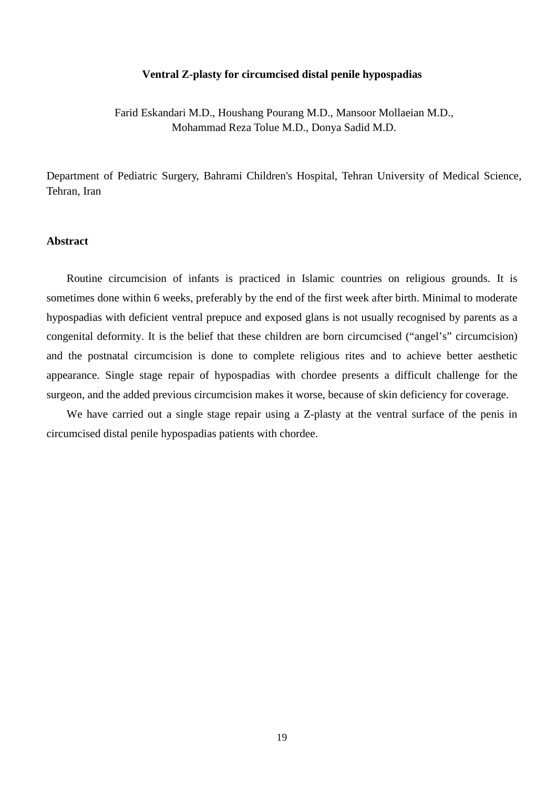#### **Ventral Z-plasty for circumcised distal penile hypospadias**

Farid Eskandari M.D., Houshang Pourang M.D., Mansoor Mollaeian M.D., Mohammad Reza Tolue M.D., Donya Sadid M.D.

Department of Pediatric Surgery, Bahrami Children's Hospital, Tehran University of Medical Science, Tehran, Iran

# **Abstract**

Routine circumcision of infants is practiced in Islamic countries on religious grounds. It is sometimes done within 6 weeks, preferably by the end of the first week after birth. Minimal to moderate hypospadias with deficient ventral prepuce and exposed glans is not usually recognised by parents as a congenital deformity. It is the belief that these children are born circumcised ("angel's" circumcision) and the postnatal circumcision is done to complete religious rites and to achieve better aesthetic appearance. Single stage repair of hypospadias with chordee presents a difficult challenge for the surgeon, and the added previous circumcision makes it worse, because of skin deficiency for coverage.

We have carried out a single stage repair using a Z-plasty at the ventral surface of the penis in circumcised distal penile hypospadias patients with chordee.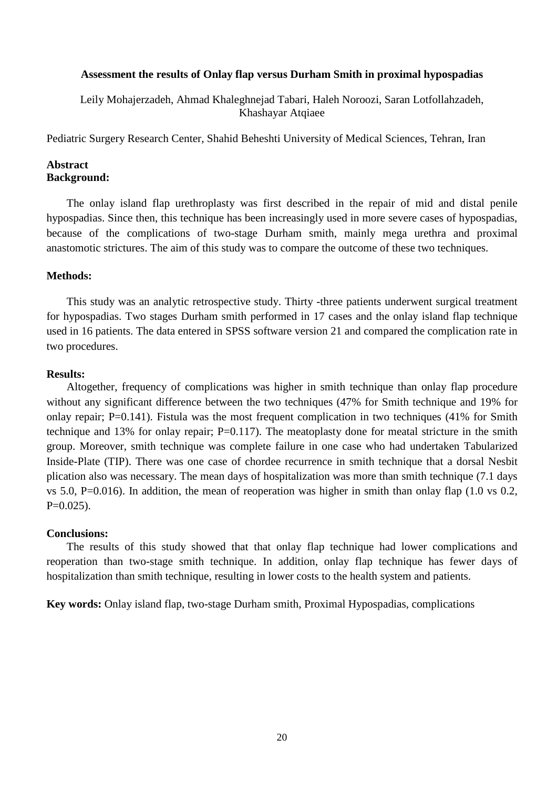## **Assessment the results of Onlay flap versus Durham Smith in proximal hypospadias**

Leily Mohajerzadeh, Ahmad Khaleghnejad Tabari, Haleh Noroozi, Saran Lotfollahzadeh, Khashayar Atqiaee

Pediatric Surgery Research Center, Shahid Beheshti University of Medical Sciences, Tehran, Iran

## **Abstract Background:**

The onlay island flap urethroplasty was first described in the repair of mid and distal penile hypospadias. Since then, this technique has been increasingly used in more severe cases of hypospadias, because of the complications of two-stage Durham smith, mainly mega urethra and proximal anastomotic strictures. The aim of this study was to compare the outcome of these two techniques.

## **Methods:**

This study was an analytic retrospective study. Thirty -three patients underwent surgical treatment for hypospadias. Two stages Durham smith performed in 17 cases and the onlay island flap technique used in 16 patients. The data entered in SPSS software version 21 and compared the complication rate in two procedures.

## **Results:**

Altogether, frequency of complications was higher in smith technique than onlay flap procedure without any significant difference between the two techniques (47% for Smith technique and 19% for onlay repair;  $P=0.141$ ). Fistula was the most frequent complication in two techniques (41% for Smith technique and 13% for onlay repair; P=0.117). The meatoplasty done for meatal stricture in the smith group. Moreover, smith technique was complete failure in one case who had undertaken Tabularized Inside-Plate (TIP). There was one case of chordee recurrence in smith technique that a dorsal Nesbit plication also was necessary. The mean days of hospitalization was more than smith technique (7.1 days vs 5.0, P=0.016). In addition, the mean of reoperation was higher in smith than onlay flap (1.0 vs 0.2,  $P=0.025$ ).

## **Conclusions:**

The results of this study showed that that onlay flap technique had lower complications and reoperation than two-stage smith technique. In addition, onlay flap technique has fewer days of hospitalization than smith technique, resulting in lower costs to the health system and patients.

**Key words:** Onlay island flap, two-stage Durham smith, Proximal Hypospadias, complications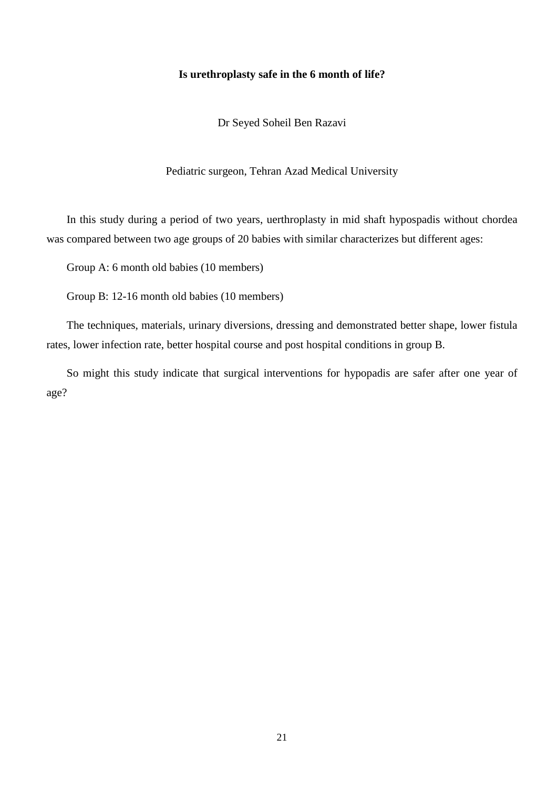#### **Is urethroplasty safe in the 6 month of life?**

Dr Seyed Soheil Ben Razavi

Pediatric surgeon, Tehran Azad Medical University

In this study during a period of two years, uerthroplasty in mid shaft hypospadis without chordea was compared between two age groups of 20 babies with similar characterizes but different ages:

Group A: 6 month old babies (10 members)

Group B: 12-16 month old babies (10 members)

The techniques, materials, urinary diversions, dressing and demonstrated better shape, lower fistula rates, lower infection rate, better hospital course and post hospital conditions in group B.

So might this study indicate that surgical interventions for hypopadis are safer after one year of age?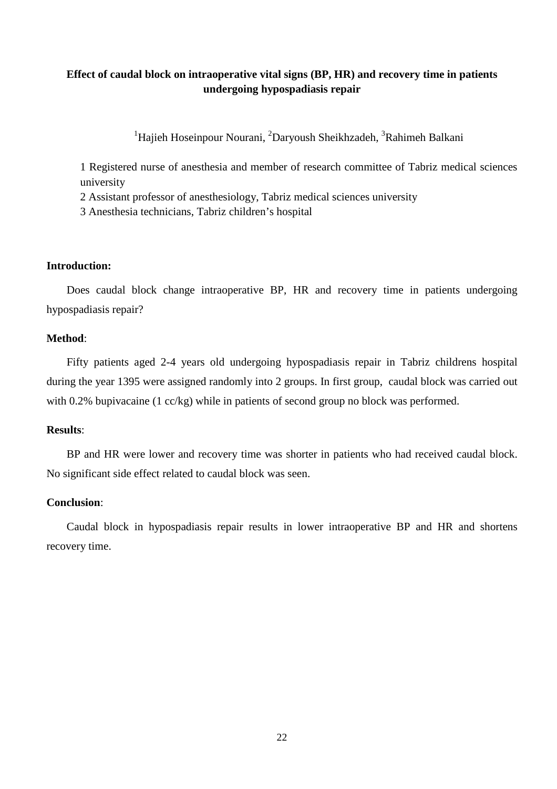# **Effect of caudal block on intraoperative vital signs (BP, HR) and recovery time in patients undergoing hypospadiasis repair**

<sup>1</sup>Hajieh Hoseinpour Nourani, <sup>2</sup>Daryoush Sheikhzadeh, <sup>3</sup>Rahimeh Balkani

1 Registered nurse of anesthesia and member of research committee of Tabriz medical sciences university

2 Assistant professor of anesthesiology, Tabriz medical sciences university

3 Anesthesia technicians, Tabriz children's hospital

## **Introduction:**

Does caudal block change intraoperative BP, HR and recovery time in patients undergoing hypospadiasis repair?

## **Method**:

Fifty patients aged 2-4 years old undergoing hypospadiasis repair in Tabriz childrens hospital during the year 1395 were assigned randomly into 2 groups. In first group, caudal block was carried out with 0.2% bupivacaine (1 cc/kg) while in patients of second group no block was performed.

## **Results**:

BP and HR were lower and recovery time was shorter in patients who had received caudal block. No significant side effect related to caudal block was seen.

#### **Conclusion**:

Caudal block in hypospadiasis repair results in lower intraoperative BP and HR and shortens recovery time.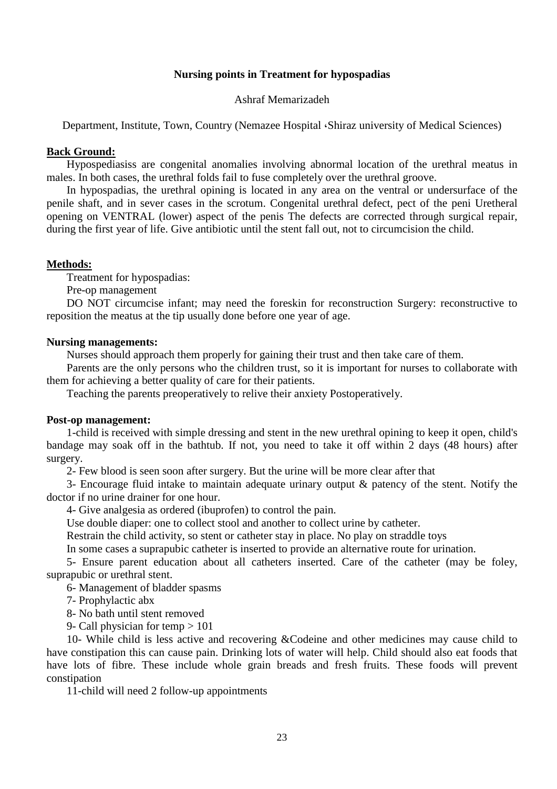# **Nursing points in Treatment for hypospadias**

## Ashraf Memarizadeh

Department, Institute, Town, Country (Nemazee Hospital ،Shiraz university of Medical Sciences)

## **Back Ground:**

Hypospediasiss are congenital anomalies involving abnormal location of the urethral meatus in males. In both cases, the urethral folds fail to fuse completely over the urethral groove.

In hypospadias, the urethral opining is located in any area on the ventral or undersurface of the penile shaft, and in sever cases in the scrotum. Congenital urethral defect, pect of the peni Uretheral opening on VENTRAL (lower) aspect of the penis The defects are corrected through surgical repair, during the first year of life. Give antibiotic until the stent fall out, not to circumcision the child.

## **Methods:**

Treatment for hypospadias:

Pre-op management

DO NOT circumcise infant; may need the foreskin for reconstruction Surgery: reconstructive to reposition the meatus at the tip usually done before one year of age.

## **Nursing managements:**

Nurses should approach them properly for gaining their trust and then take care of them.

Parents are the only persons who the children trust, so it is important for nurses to collaborate with them for achieving a better quality of care for their patients.

Teaching the parents preoperatively to relive their anxiety Postoperatively.

## **Post-op management:**

1-child is received with simple dressing and stent in the new urethral opining to keep it open, child's bandage may soak off in the bathtub. If not, you need to take it off within 2 days (48 hours) after surgery.

2- Few blood is seen soon after surgery. But the urine will be more clear after that

3- Encourage fluid intake to maintain adequate urinary output & patency of the stent. Notify the doctor if no urine drainer for one hour.

4- Give analgesia as ordered (ibuprofen) to control the pain.

Use double diaper: one to collect stool and another to collect urine by catheter.

Restrain the child activity, so stent or catheter stay in place. No play on straddle toys

In some cases a suprapubic catheter is inserted to provide an alternative route for urination.

5- Ensure parent education about all catheters inserted. Care of the catheter (may be foley, suprapubic or urethral stent.

6- Management of bladder spasms

7- Prophylactic abx

8- No bath until stent removed

9- Call physician for temp > 101

10- While child is less active and recovering &Codeine and other medicines may cause child to have constipation this can cause pain. Drinking lots of water will help. Child should also eat foods that have lots of fibre. These include whole grain breads and fresh fruits. These foods will prevent constipation

11-child will need 2 follow-up appointments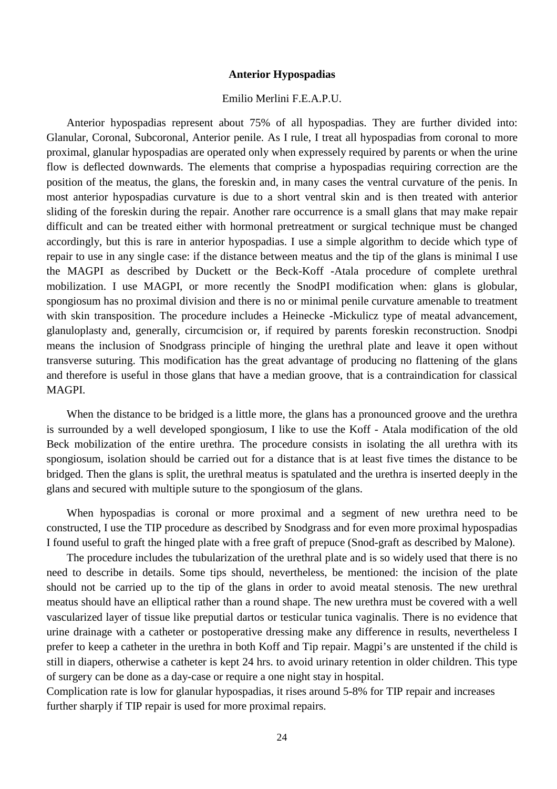## **Anterior Hypospadias**

# Emilio Merlini F.E.A.P.U.

Anterior hypospadias represent about 75% of all hypospadias. They are further divided into: Glanular, Coronal, Subcoronal, Anterior penile. As I rule, I treat all hypospadias from coronal to more proximal, glanular hypospadias are operated only when expressely required by parents or when the urine flow is deflected downwards. The elements that comprise a hypospadias requiring correction are the position of the meatus, the glans, the foreskin and, in many cases the ventral curvature of the penis. In most anterior hypospadias curvature is due to a short ventral skin and is then treated with anterior sliding of the foreskin during the repair. Another rare occurrence is a small glans that may make repair difficult and can be treated either with hormonal pretreatment or surgical technique must be changed accordingly, but this is rare in anterior hypospadias. I use a simple algorithm to decide which type of repair to use in any single case: if the distance between meatus and the tip of the glans is minimal I use the MAGPI as described by Duckett or the Beck-Koff -Atala procedure of complete urethral mobilization. I use MAGPI, or more recently the SnodPI modification when: glans is globular, spongiosum has no proximal division and there is no or minimal penile curvature amenable to treatment with skin transposition. The procedure includes a Heinecke -Mickulicz type of meatal advancement, glanuloplasty and, generally, circumcision or, if required by parents foreskin reconstruction. Snodpi means the inclusion of Snodgrass principle of hinging the urethral plate and leave it open without transverse suturing. This modification has the great advantage of producing no flattening of the glans and therefore is useful in those glans that have a median groove, that is a contraindication for classical MAGPI.

When the distance to be bridged is a little more, the glans has a pronounced groove and the urethra is surrounded by a well developed spongiosum, I like to use the Koff - Atala modification of the old Beck mobilization of the entire urethra. The procedure consists in isolating the all urethra with its spongiosum, isolation should be carried out for a distance that is at least five times the distance to be bridged. Then the glans is split, the urethral meatus is spatulated and the urethra is inserted deeply in the glans and secured with multiple suture to the spongiosum of the glans.

When hypospadias is coronal or more proximal and a segment of new urethra need to be constructed, I use the TIP procedure as described by Snodgrass and for even more proximal hypospadias I found useful to graft the hinged plate with a free graft of prepuce (Snod-graft as described by Malone).

The procedure includes the tubularization of the urethral plate and is so widely used that there is no need to describe in details. Some tips should, nevertheless, be mentioned: the incision of the plate should not be carried up to the tip of the glans in order to avoid meatal stenosis. The new urethral meatus should have an elliptical rather than a round shape. The new urethra must be covered with a well vascularized layer of tissue like preputial dartos or testicular tunica vaginalis. There is no evidence that urine drainage with a catheter or postoperative dressing make any difference in results, nevertheless I prefer to keep a catheter in the urethra in both Koff and Tip repair. Magpi's are unstented if the child is still in diapers, otherwise a catheter is kept 24 hrs. to avoid urinary retention in older children. This type of surgery can be done as a day-case or require a one night stay in hospital.

Complication rate is low for glanular hypospadias, it rises around 5-8% for TIP repair and increases further sharply if TIP repair is used for more proximal repairs.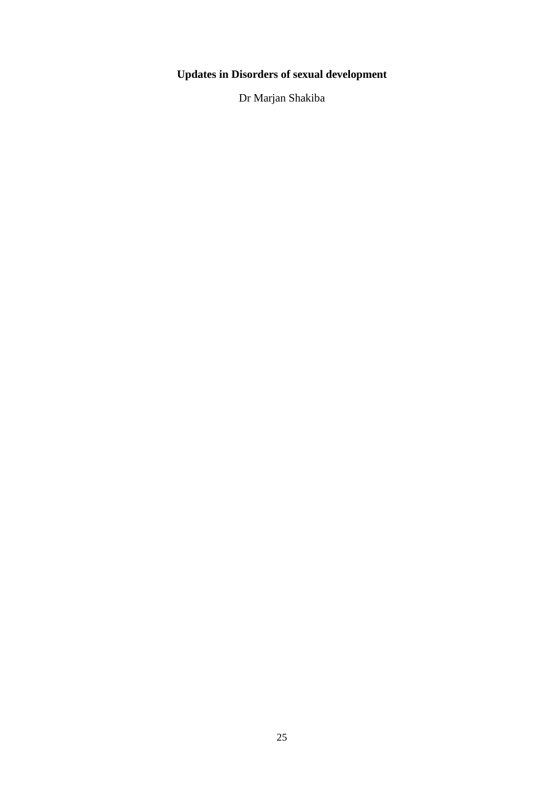# **Updates in Disorders of sexual development**

Dr Marjan Shakiba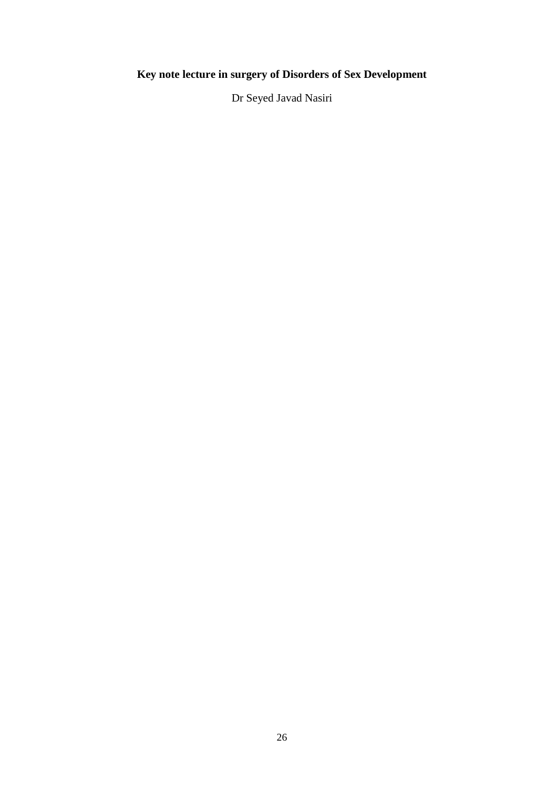# **Key note lecture in surgery of Disorders of Sex Development**

Dr Seyed Javad Nasiri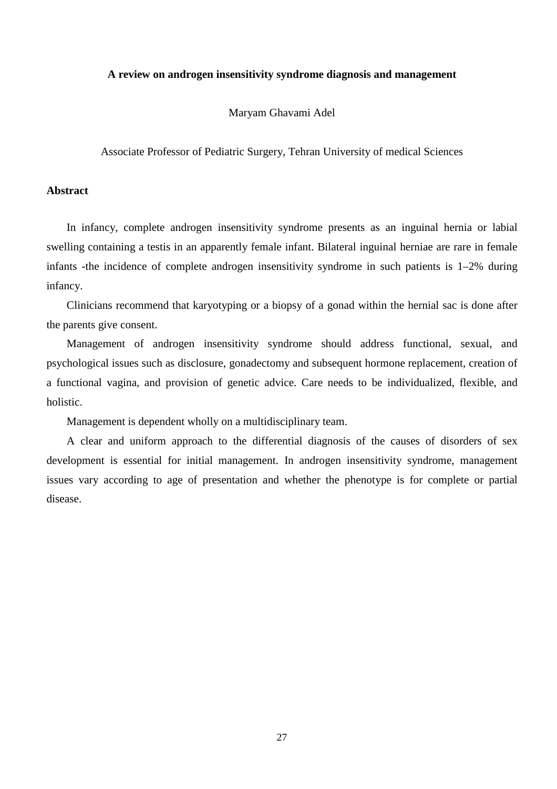#### **A review on androgen insensitivity syndrome diagnosis and management**

Maryam Ghavami Adel

Associate Professor of Pediatric Surgery, Tehran University of medical Sciences

# **Abstract**

In infancy, complete androgen insensitivity syndrome presents as an inguinal hernia or labial swelling containing a testis in an apparently female infant. Bilateral inguinal herniae are rare in female infants -the incidence of complete androgen insensitivity syndrome in such patients is 1–2% during infancy.

Clinicians recommend that karyotyping or a biopsy of a gonad within the hernial sac is done after the parents give consent.

Management of androgen insensitivity syndrome should address functional, sexual, and psychological issues such as disclosure, gonadectomy and subsequent hormone replacement, creation of a functional vagina, and provision of genetic advice. Care needs to be individualized, flexible, and holistic.

Management is dependent wholly on a multidisciplinary team.

A clear and uniform approach to the differential diagnosis of the causes of disorders of sex development is essential for initial management. In androgen insensitivity syndrome, management issues vary according to age of presentation and whether the phenotype is for complete or partial disease.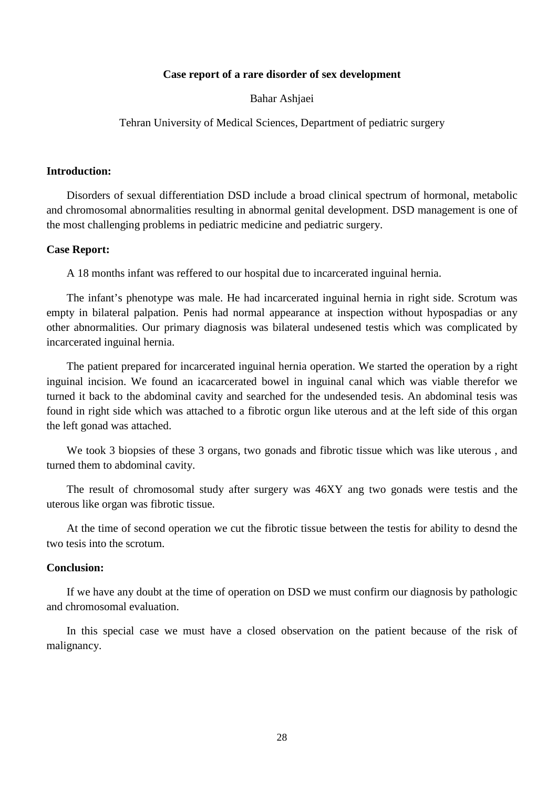## **Case report of a rare disorder of sex development**

Bahar Ashjaei

Tehran University of Medical Sciences, Department of pediatric surgery

## **Introduction:**

Disorders of sexual differentiation DSD include a broad clinical spectrum of hormonal, metabolic and chromosomal abnormalities resulting in abnormal genital development. DSD management is one of the most challenging problems in pediatric medicine and pediatric surgery.

#### **Case Report:**

A 18 months infant was reffered to our hospital due to incarcerated inguinal hernia.

The infant's phenotype was male. He had incarcerated inguinal hernia in right side. Scrotum was empty in bilateral palpation. Penis had normal appearance at inspection without hypospadias or any other abnormalities. Our primary diagnosis was bilateral undesened testis which was complicated by incarcerated inguinal hernia.

The patient prepared for incarcerated inguinal hernia operation. We started the operation by a right inguinal incision. We found an icacarcerated bowel in inguinal canal which was viable therefor we turned it back to the abdominal cavity and searched for the undesended tesis. An abdominal tesis was found in right side which was attached to a fibrotic orgun like uterous and at the left side of this organ the left gonad was attached.

We took 3 biopsies of these 3 organs, two gonads and fibrotic tissue which was like uterous, and turned them to abdominal cavity.

The result of chromosomal study after surgery was 46XY ang two gonads were testis and the uterous like organ was fibrotic tissue.

At the time of second operation we cut the fibrotic tissue between the testis for ability to desnd the two tesis into the scrotum.

#### **Conclusion:**

If we have any doubt at the time of operation on DSD we must confirm our diagnosis by pathologic and chromosomal evaluation.

In this special case we must have a closed observation on the patient because of the risk of malignancy.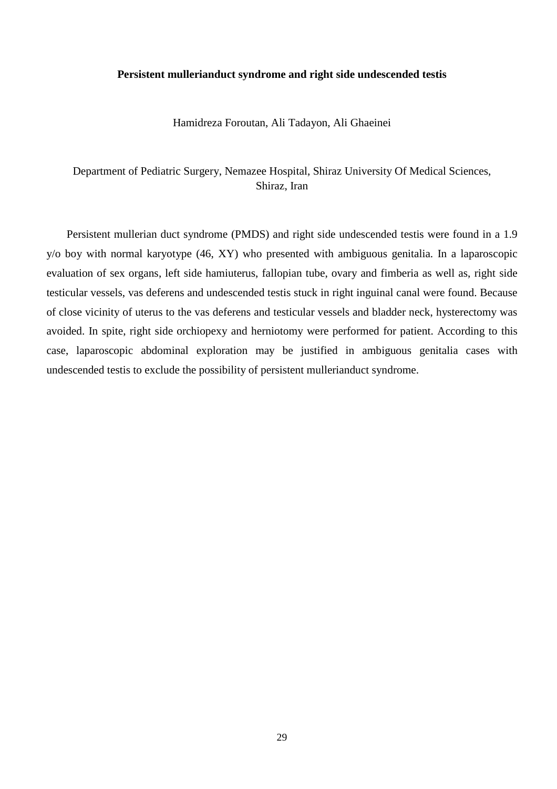#### **Persistent mullerianduct syndrome and right side undescended testis**

Hamidreza Foroutan, Ali Tadayon, Ali Ghaeinei

Department of Pediatric Surgery, Nemazee Hospital, Shiraz University Of Medical Sciences, Shiraz, Iran

Persistent mullerian duct syndrome (PMDS) and right side undescended testis were found in a 1.9 y/o boy with normal karyotype (46, XY) who presented with ambiguous genitalia. In a laparoscopic evaluation of sex organs, left side hamiuterus, fallopian tube, ovary and fimberia as well as, right side testicular vessels, vas deferens and undescended testis stuck in right inguinal canal were found. Because of close vicinity of uterus to the vas deferens and testicular vessels and bladder neck, hysterectomy was avoided. In spite, right side orchiopexy and herniotomy were performed for patient. According to this case, laparoscopic abdominal exploration may be justified in ambiguous genitalia cases with undescended testis to exclude the possibility of persistent mullerianduct syndrome.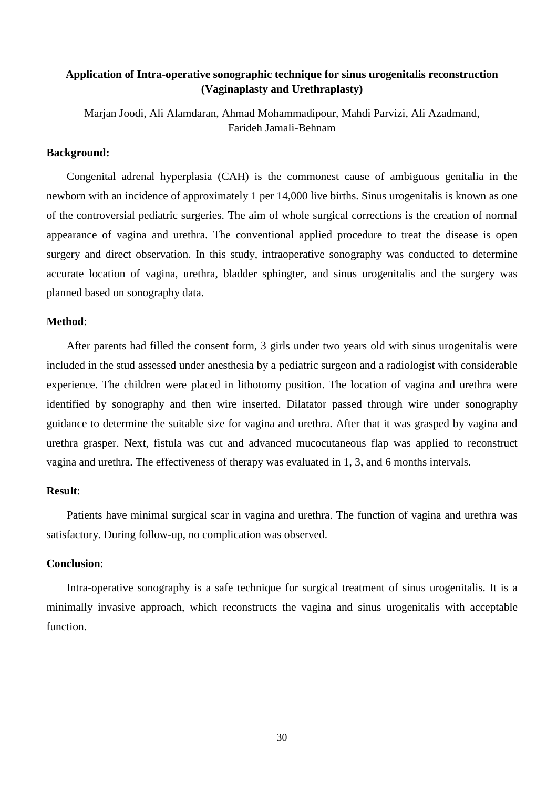# **Application of Intra-operative sonographic technique for sinus urogenitalis reconstruction (Vaginaplasty and Urethraplasty)**

Marjan Joodi, Ali Alamdaran, Ahmad Mohammadipour, Mahdi Parvizi, Ali Azadmand, Farideh Jamali-Behnam

## **Background:**

Congenital adrenal hyperplasia (CAH) is the commonest cause of ambiguous genitalia in the newborn with an incidence of approximately 1 per 14,000 live births. Sinus urogenitalis is known as one of the controversial pediatric surgeries. The aim of whole surgical corrections is the creation of normal appearance of vagina and urethra. The conventional applied procedure to treat the disease is open surgery and direct observation. In this study, intraoperative sonography was conducted to determine accurate location of vagina, urethra, bladder sphingter, and sinus urogenitalis and the surgery was planned based on sonography data.

#### **Method**:

After parents had filled the consent form, 3 girls under two years old with sinus urogenitalis were included in the stud assessed under anesthesia by a pediatric surgeon and a radiologist with considerable experience. The children were placed in lithotomy position. The location of vagina and urethra were identified by sonography and then wire inserted. Dilatator passed through wire under sonography guidance to determine the suitable size for vagina and urethra. After that it was grasped by vagina and urethra grasper. Next, fistula was cut and advanced mucocutaneous flap was applied to reconstruct vagina and urethra. The effectiveness of therapy was evaluated in 1, 3, and 6 months intervals.

## **Result**:

Patients have minimal surgical scar in vagina and urethra. The function of vagina and urethra was satisfactory. During follow-up, no complication was observed.

#### **Conclusion**:

Intra-operative sonography is a safe technique for surgical treatment of sinus urogenitalis. It is a minimally invasive approach, which reconstructs the vagina and sinus urogenitalis with acceptable function.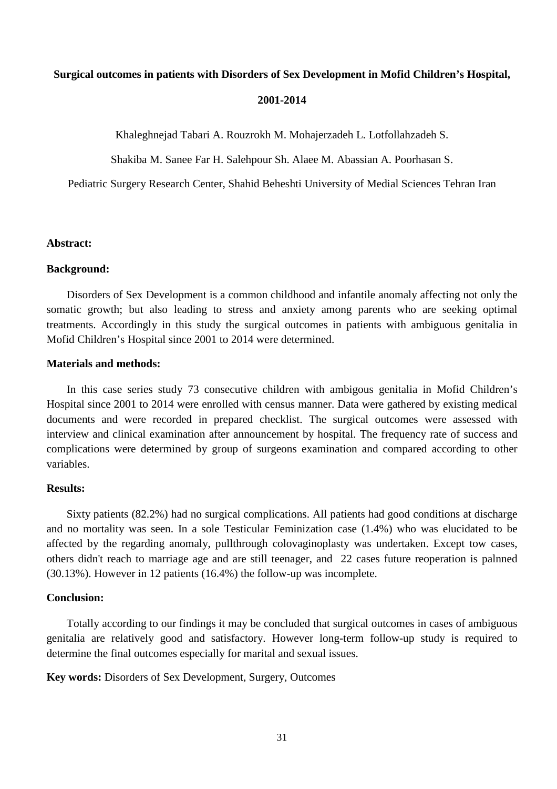# **Surgical outcomes in patients with Disorders of Sex Development in Mofid Children's Hospital,**

#### **2001-2014**

Khaleghnejad Tabari A. Rouzrokh M. Mohajerzadeh L. Lotfollahzadeh S.

Shakiba M. Sanee Far H. Salehpour Sh. Alaee M. Abassian A. Poorhasan S.

Pediatric Surgery Research Center, Shahid Beheshti University of Medial Sciences Tehran Iran

## **Abstract:**

#### **Background:**

Disorders of Sex Development is a common childhood and infantile anomaly affecting not only the somatic growth; but also leading to stress and anxiety among parents who are seeking optimal treatments. Accordingly in this study the surgical outcomes in patients with ambiguous genitalia in Mofid Children's Hospital since 2001 to 2014 were determined.

# **Materials and methods:**

In this case series study 73 consecutive children with ambigous genitalia in Mofid Children's Hospital since 2001 to 2014 were enrolled with census manner. Data were gathered by existing medical documents and were recorded in prepared checklist. The surgical outcomes were assessed with interview and clinical examination after announcement by hospital. The frequency rate of success and complications were determined by group of surgeons examination and compared according to other variables.

## **Results:**

Sixty patients (82.2%) had no surgical complications. All patients had good conditions at discharge and no mortality was seen. In a sole Testicular Feminization case (1.4%) who was elucidated to be affected by the regarding anomaly, pullthrough colovaginoplasty was undertaken. Except tow cases, others didn't reach to marriage age and are still teenager, and 22 cases future reoperation is palnned (30.13%). However in 12 patients (16.4%) the follow-up was incomplete.

## **Conclusion:**

Totally according to our findings it may be concluded that surgical outcomes in cases of ambiguous genitalia are relatively good and satisfactory. However long-term follow-up study is required to determine the final outcomes especially for marital and sexual issues.

**Key words:** Disorders of Sex Development, Surgery, Outcomes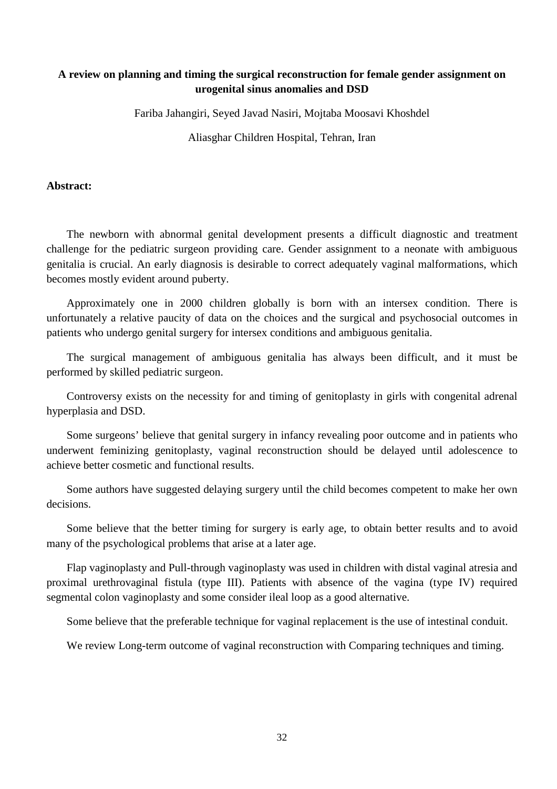# **A review on planning and timing the surgical reconstruction for female gender assignment on urogenital sinus anomalies and DSD**

Fariba Jahangiri, Seyed Javad Nasiri, Mojtaba Moosavi Khoshdel

Aliasghar Children Hospital, Tehran, Iran

# **Abstract:**

The newborn with abnormal genital development presents a difficult diagnostic and treatment challenge for the pediatric surgeon providing care. Gender assignment to a neonate with ambiguous genitalia is crucial. An early diagnosis is desirable to correct adequately vaginal malformations, which becomes mostly evident around puberty.

Approximately one in 2000 children globally is born with an intersex condition. There is unfortunately a relative paucity of data on the choices and the surgical and psychosocial outcomes in patients who undergo genital surgery for intersex conditions and ambiguous genitalia .

The surgical management of ambiguous genitalia has always been difficult, and it must be performed by skilled pediatric surgeon.

Controversy exists on the necessity for and timing of genitoplasty in girls with congenital adrenal hyperplasia and DSD.

Some surgeons' believe that genital surgery in infancy revealing poor outcome and in patients who underwent feminizing genitoplasty, vaginal reconstruction should be delayed until adolescence to achieve better cosmetic and functional results.

Some authors have suggested delaying surgery until the child becomes competent to make her own decisions.

Some believe that the better timing for surgery is early age, to obtain better results and to avoid many of the psychological problems that arise at a later age.

Flap vaginoplasty and Pull-through vaginoplasty was used in children with distal vaginal atresia and proximal urethrovaginal fistula (type III). Patients with absence of the vagina (type IV) required segmental colon vaginoplasty and some consider ileal loop as a good alternative.

Some believe that the preferable technique for vaginal replacement is the use of intestinal conduit.

We review Long-term outcome of vaginal reconstruction with Comparing techniques and timing.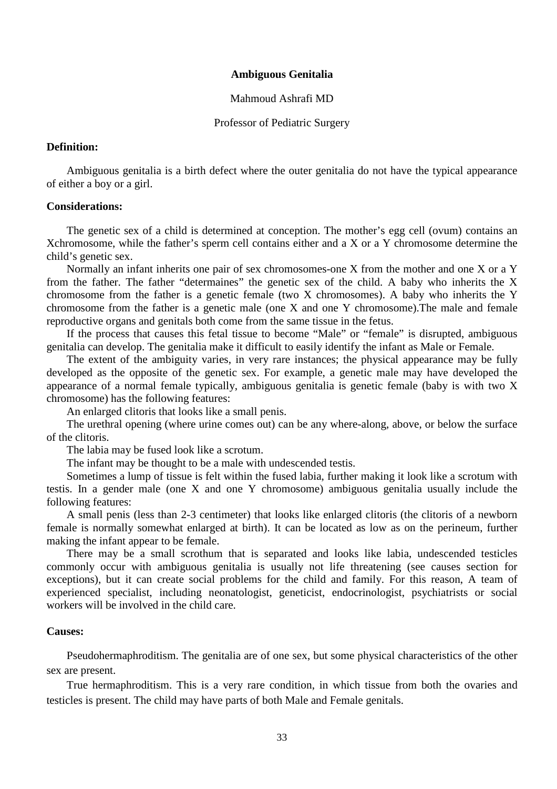## **Ambiguous Genitalia**

#### Mahmoud Ashrafi MD

#### Professor of Pediatric Surgery

#### **Definition:**

Ambiguous genitalia is a birth defect where the outer genitalia do not have the typical appearance of either a boy or a girl.

#### **Considerations:**

The genetic sex of a child is determined at conception. The mother's egg cell (ovum) contains an Xchromosome, while the father's sperm cell contains either and a X or a Y chromosome determine the child's genetic sex.

Normally an infant inherits one pair of sex chromosomes-one X from the mother and one X or a Y from the father. The father "determaines" the genetic sex of the child. A baby who inherits the X chromosome from the father is a genetic female (two X chromosomes). A baby who inherits the Y chromosome from the father is a genetic male (one X and one Y chromosome).The male and female reproductive organs and genitals both come from the same tissue in the fetus.

If the process that causes this fetal tissue to become "Male" or "female" is disrupted, ambiguous genitalia can develop. The genitalia make it difficult to easily identify the infant as Male or Female.

The extent of the ambiguity varies, in very rare instances; the physical appearance may be fully developed as the opposite of the genetic sex. For example, a genetic male may have developed the appearance of a normal female typically, ambiguous genitalia is genetic female (baby is with two X chromosome) has the following features:

An enlarged clitoris that looks like a small penis.

The urethral opening (where urine comes out) can be any where-along, above, or below the surface of the clitoris.

The labia may be fused look like a scrotum.

The infant may be thought to be a male with undescended testis.

Sometimes a lump of tissue is felt within the fused labia, further making it look like a scrotum with testis. In a gender male (one X and one Y chromosome) ambiguous genitalia usually include the following features:

A small penis (less than 2-3 centimeter) that looks like enlarged clitoris (the clitoris of a newborn female is normally somewhat enlarged at birth). It can be located as low as on the perineum, further making the infant appear to be female.

There may be a small scrothum that is separated and looks like labia, undescended testicles commonly occur with ambiguous genitalia is usually not life threatening (see causes section for exceptions), but it can create social problems for the child and family. For this reason, A team of experienced specialist, including neonatologist, geneticist, endocrinologist, psychiatrists or social workers will be involved in the child care.

#### **Causes:**

Pseudohermaphroditism. The genitalia are of one sex, but some physical characteristics of the other sex are present.

True hermaphroditism. This is a very rare condition, in which tissue from both the ovaries and testicles is present. The child may have parts of both Male and Female genitals.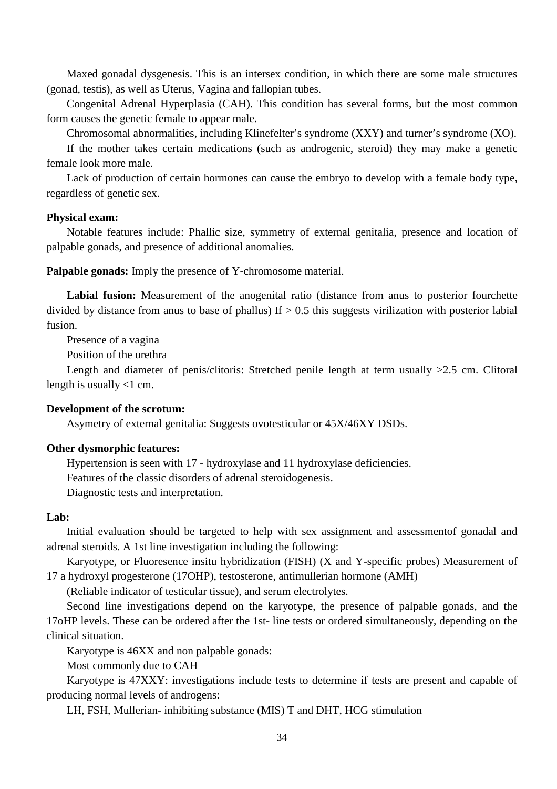Maxed gonadal dysgenesis. This is an intersex condition, in which there are some male structures (gonad, testis), as well as Uterus, Vagina and fallopian tubes.

Congenital Adrenal Hyperplasia (CAH). This condition has several forms, but the most common form causes the genetic female to appear male.

Chromosomal abnormalities, including Klinefelter's syndrome (XXY) and turner's syndrome (XO).

If the mother takes certain medications (such as androgenic, steroid) they may make a genetic female look more male.

Lack of production of certain hormones can cause the embryo to develop with a female body type, regardless of genetic sex.

#### **Physical exam:**

Notable features include: Phallic size, symmetry of external genitalia, presence and location of palpable gonads, and presence of additional anomalies.

**Palpable gonads:** Imply the presence of Y-chromosome material.

**Labial fusion:** Measurement of the anogenital ratio (distance from anus to posterior fourchette divided by distance from anus to base of phallus) If  $> 0.5$  this suggests virilization with posterior labial fusion.

Presence of a vagina

Position of the urethra

Length and diameter of penis/clitoris: Stretched penile length at term usually >2.5 cm. Clitoral length is usually <1 cm.

#### **Development of the scrotum:**

Asymetry of external genitalia: Suggests ovotesticular or 45X/46XY DSDs.

## **Other dysmorphic features:**

Hypertension is seen with 17 - hydroxylase and 11 hydroxylase deficiencies. Features of the classic disorders of adrenal steroidogenesis.

Diagnostic tests and interpretation.

## **Lab:**

Initial evaluation should be targeted to help with sex assignment and assessmentof gonadal and adrenal steroids. A 1st line investigation including the following:

Karyotype, or Fluoresence insitu hybridization (FISH) (X and Y-specific probes) Measurement of 17 a hydroxyl progesterone (17OHP), testosterone, antimullerian hormone (AMH)

(Reliable indicator of testicular tissue), and serum electrolytes.

Second line investigations depend on the karyotype, the presence of palpable gonads, and the 17oHP levels. These can be ordered after the 1st- line tests or ordered simultaneously, depending on the clinical situation.

Karyotype is 46XX and non palpable gonads:

Most commonly due to CAH

Karyotype is 47XXY: investigations include tests to determine if tests are present and capable of producing normal levels of androgens:

LH, FSH, Mullerian- inhibiting substance (MIS) T and DHT, HCG stimulation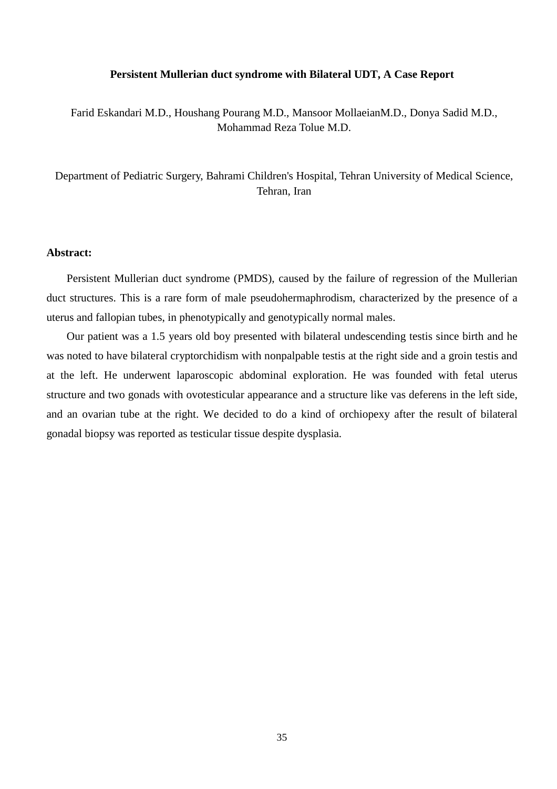#### **Persistent Mullerian duct syndrome with Bilateral UDT, A Case Report**

Farid Eskandari M.D., Houshang Pourang M.D., Mansoor MollaeianM.D., Donya Sadid M.D., Mohammad Reza Tolue M.D.

Department of Pediatric Surgery, Bahrami Children's Hospital, Tehran University of Medical Science, Tehran, Iran

## **Abstract:**

Persistent Mullerian duct syndrome (PMDS), caused by the failure of regression of the Mullerian duct structures. This is a rare form of male pseudohermaphrodism, characterized by the presence of a uterus and fallopian tubes, in phenotypically and genotypically normal males.

Our patient was a 1.5 years old boy presented with bilateral undescending testis since birth and he was noted to have bilateral cryptorchidism with nonpalpable testis at the right side and a groin testis and at the left. He underwent laparoscopic abdominal exploration. He was founded with fetal uterus structure and two gonads with ovotesticular appearance and a structure like vas deferens in the left side, and an ovarian tube at the right. We decided to do a kind of orchiopexy after the result of bilateral gonadal biopsy was reported as testicular tissue despite dysplasia.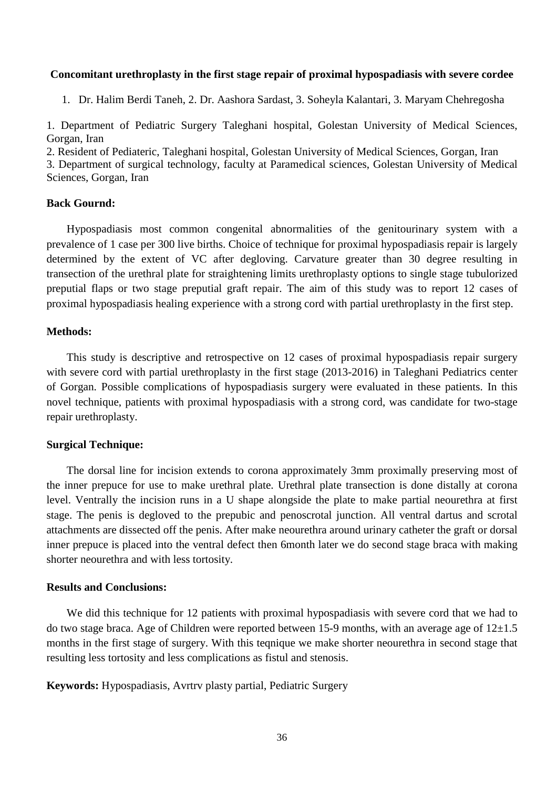#### **Concomitant urethroplasty in the first stage repair of proximal hypospadiasis with severe cordee**

1. Dr. Halim Berdi Taneh, 2. Dr. Aashora Sardast, 3. Soheyla Kalantari, 3. Maryam Chehregosha

1. Department of Pediatric Surgery Taleghani hospital, Golestan University of Medical Sciences, Gorgan, Iran

2. Resident of Pediateric, Taleghani hospital, Golestan University of Medical Sciences, Gorgan, Iran

3. Department of surgical technology, faculty at Paramedical sciences, Golestan University of Medical Sciences, Gorgan, Iran

# **Back Gournd:**

Hypospadiasis most common congenital abnormalities of the genitourinary system with a prevalence of 1 case per 300 live births. Choice of technique for proximal hypospadiasis repair is largely determined by the extent of VC after degloving. Carvature greater than 30 degree resulting in transection of the urethral plate for straightening limits urethroplasty options to single stage tubulorized preputial flaps or two stage preputial graft repair. The aim of this study was to report 12 cases of proximal hypospadiasis healing experience with a strong cord with partial urethroplasty in the first step.

#### **Methods:**

This study is descriptive and retrospective on 12 cases of proximal hypospadiasis repair surgery with severe cord with partial urethroplasty in the first stage (2013-2016) in Taleghani Pediatrics center of Gorgan. Possible complications of hypospadiasis surgery were evaluated in these patients. In this novel technique, patients with proximal hypospadiasis with a strong cord, was candidate for two-stage repair urethroplasty.

#### **Surgical Technique:**

The dorsal line for incision extends to corona approximately 3mm proximally preserving most of the inner prepuce for use to make urethral plate. Urethral plate transection is done distally at corona level. Ventrally the incision runs in a U shape alongside the plate to make partial neourethra at first stage. The penis is degloved to the prepubic and penoscrotal junction. All ventral dartus and scrotal attachments are dissected off the penis. After make neourethra around urinary catheter the graft or dorsal inner prepuce is placed into the ventral defect then 6month later we do second stage braca with making shorter neourethra and with less tortosity.

## **Results and Conclusions:**

We did this technique for 12 patients with proximal hypospadiasis with severe cord that we had to do two stage braca. Age of Children were reported between 15-9 months, with an average age of  $12\pm1.5$ months in the first stage of surgery. With this teqnique we make shorter neourethra in second stage that resulting less tortosity and less complications as fistul and stenosis.

**Keywords:** Hypospadiasis, Avrtrv plasty partial, Pediatric Surgery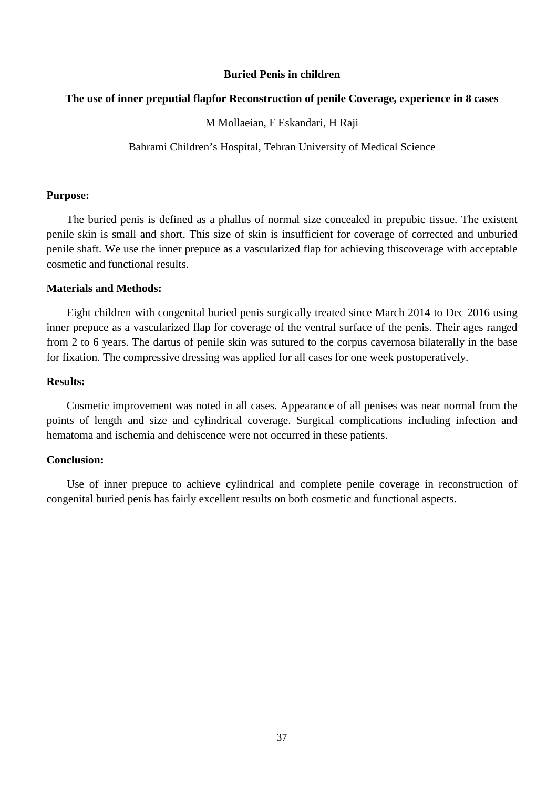## **Buried Penis in children**

## **The use of inner preputial flapfor Reconstruction of penile Coverage, experience in 8 cases**

## M Mollaeian, F Eskandari, H Raji

Bahrami Children's Hospital, Tehran University of Medical Science

## **Purpose:**

The buried penis is defined as a phallus of normal size concealed in prepubic tissue. The existent penile skin is small and short. This size of skin is insufficient for coverage of corrected and unburied penile shaft. We use the inner prepuce as a vascularized flap for achieving thiscoverage with acceptable cosmetic and functional results.

## **Materials and Methods:**

Eight children with congenital buried penis surgically treated since March 2014 to Dec 2016 using inner prepuce as a vascularized flap for coverage of the ventral surface of the penis. Their ages ranged from 2 to 6 years. The dartus of penile skin was sutured to the corpus cavernosa bilaterally in the base for fixation. The compressive dressing was applied for all cases for one week postoperatively.

## **Results:**

Cosmetic improvement was noted in all cases. Appearance of all penises was near normal from the points of length and size and cylindrical coverage. Surgical complications including infection and hematoma and ischemia and dehiscence were not occurred in these patients.

# **Conclusion:**

Use of inner prepuce to achieve cylindrical and complete penile coverage in reconstruction of congenital buried penis has fairly excellent results on both cosmetic and functional aspects.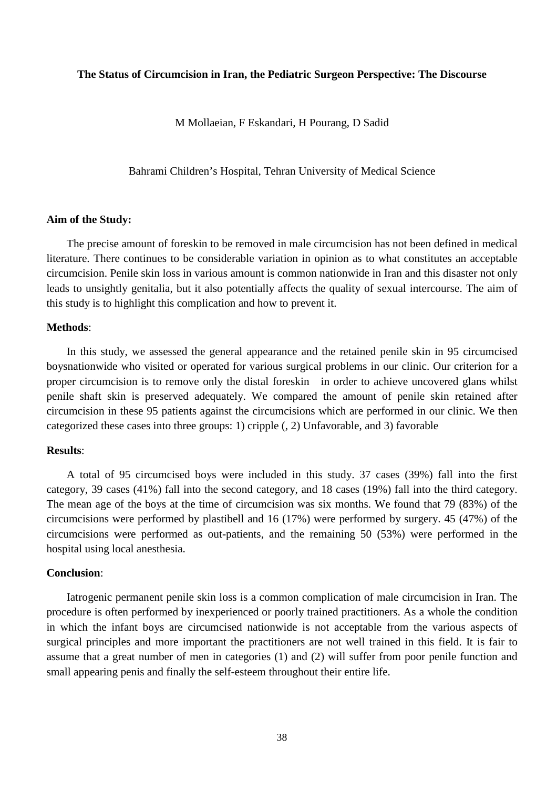## **The Status of Circumcision in Iran, the Pediatric Surgeon Perspective: The Discourse**

M Mollaeian, F Eskandari, H Pourang, D Sadid

Bahrami Children's Hospital, Tehran University of Medical Science

#### **Aim of the Study:**

The precise amount of foreskin to be removed in male circumcision has not been defined in medical literature. There continues to be considerable variation in opinion as to what constitutes an acceptable circumcision. Penile skin loss in various amount is common nationwide in Iran and this disaster not only leads to unsightly genitalia, but it also potentially affects the quality of sexual intercourse. The aim of this study is to highlight this complication and how to prevent it.

# **Methods**:

In this study, we assessed the general appearance and the retained penile skin in 95 circumcised boysnationwide who visited or operated for various surgical problems in our clinic. Our criterion for a proper circumcision is to remove only the distal foreskin in order to achieve uncovered glans whilst penile shaft skin is preserved adequately. We compared the amount of penile skin retained after circumcision in these 95 patients against the circumcisions which are performed in our clinic. We then categorized these cases into three groups: 1) cripple (, 2) Unfavorable, and 3) favorable

#### **Results**:

A total of 95 circumcised boys were included in this study. 37 cases (39%) fall into the first category, 39 cases (41%) fall into the second category, and 18 cases (19%) fall into the third category. The mean age of the boys at the time of circumcision was six months. We found that 79 (83%) of the circumcisions were performed by plastibell and 16 (17%) were performed by surgery. 45 (47%) of the circumcisions were performed as out-patients, and the remaining 50 (53%) were performed in the hospital using local anesthesia.

## **Conclusion**:

Iatrogenic permanent penile skin loss is a common complication of male circumcision in Iran. The procedure is often performed by inexperienced or poorly trained practitioners. As a whole the condition in which the infant boys are circumcised nationwide is not acceptable from the various aspects of surgical principles and more important the practitioners are not well trained in this field. It is fair to assume that a great number of men in categories (1) and (2) will suffer from poor penile function and small appearing penis and finally the self-esteem throughout their entire life.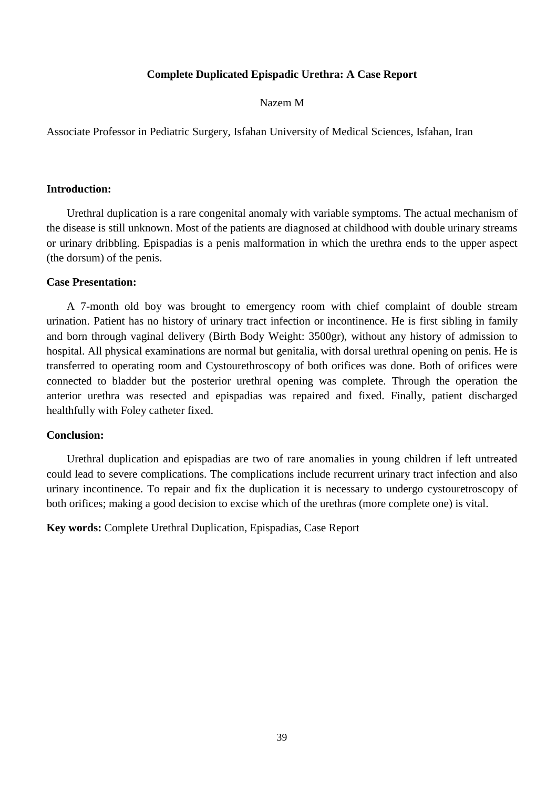# **Complete Duplicated Epispadic Urethra: A Case Report**

## Nazem M

Associate Professor in Pediatric Surgery, Isfahan University of Medical Sciences, Isfahan, Iran

#### **Introduction:**

Urethral duplication is a rare congenital anomaly with variable symptoms. The actual mechanism of the disease is still unknown. Most of the patients are diagnosed at childhood with double urinary streams or urinary dribbling. Epispadias is a penis malformation in which the urethra ends to the upper aspect (the dorsum) of the penis.

## **Case Presentation:**

A 7-month old boy was brought to emergency room with chief complaint of double stream urination. Patient has no history of urinary tract infection or incontinence. He is first sibling in family and born through vaginal delivery (Birth Body Weight: 3500gr), without any history of admission to hospital. All physical examinations are normal but genitalia, with dorsal urethral opening on penis. He is transferred to operating room and Cystourethroscopy of both orifices was done. Both of orifices were connected to bladder but the posterior urethral opening was complete. Through the operation the anterior urethra was resected and epispadias was repaired and fixed. Finally, patient discharged healthfully with Foley catheter fixed.

#### **Conclusion:**

Urethral duplication and epispadias are two of rare anomalies in young children if left untreated could lead to severe complications. The complications include recurrent urinary tract infection and also urinary incontinence. To repair and fix the duplication it is necessary to undergo cystouretroscopy of both orifices; making a good decision to excise which of the urethras (more complete one) is vital.

**Key words:** Complete Urethral Duplication, Epispadias, Case Report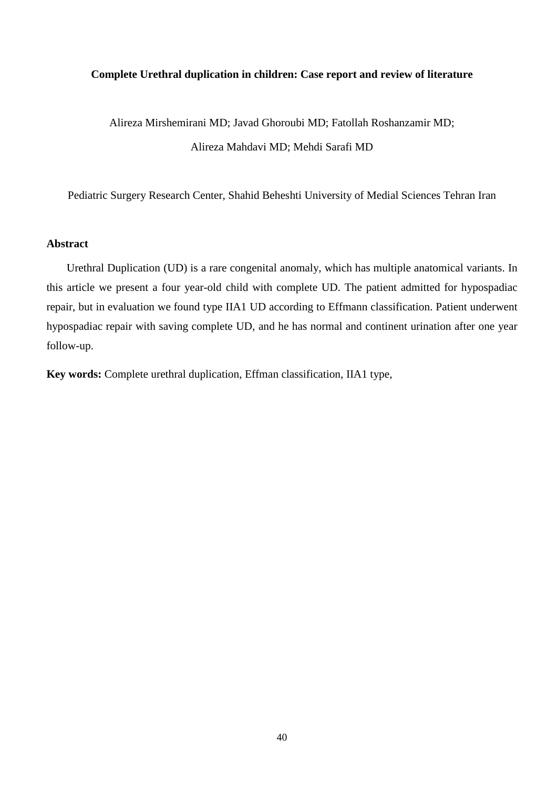## **Complete Urethral duplication in children: Case report and review of literature**

Alireza Mirshemirani MD; Javad Ghoroubi MD; Fatollah Roshanzamir MD; Alireza Mahdavi MD; Mehdi Sarafi MD

Pediatric Surgery Research Center, Shahid Beheshti University of Medial Sciences Tehran Iran

# **Abstract**

Urethral Duplication (UD) is a rare congenital anomaly, which has multiple anatomical variants. In this article we present a four year-old child with complete UD. The patient admitted for hypospadiac repair, but in evaluation we found type IIA1 UD according to Effmann classification. Patient underwent hypospadiac repair with saving complete UD, and he has normal and continent urination after one year follow-up.

**Key words:** Complete urethral duplication, Effman classification, IIA1 type,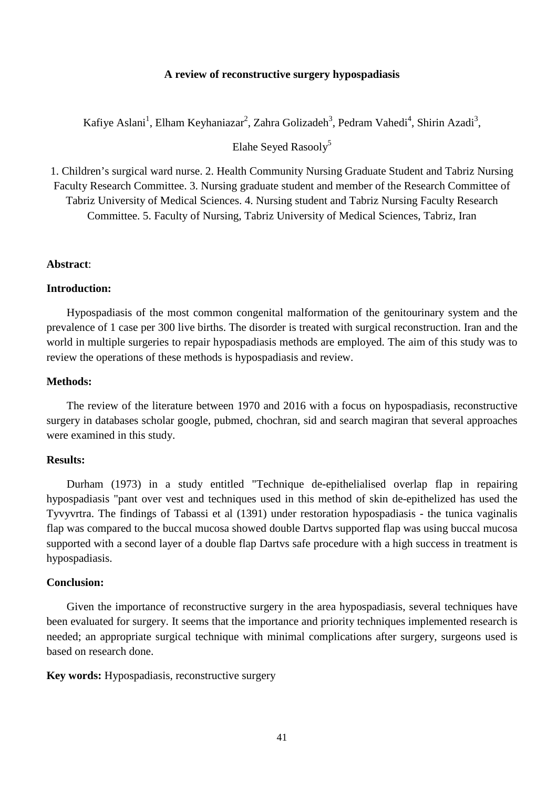## **A review of reconstructive surgery hypospadiasis**

Kafiye Aslani<sup>1</sup>, Elham Keyhaniazar<sup>2</sup>, Zahra Golizadeh<sup>3</sup>, Pedram Vahedi<sup>4</sup>, Shirin Azadi<sup>3</sup>,

Elahe Seved Rasoolv<sup>5</sup>

1. Children's surgical ward nurse. 2. Health Community Nursing Graduate Student and Tabriz Nursing Faculty Research Committee. 3. Nursing graduate student and member of the Research Committee of Tabriz University of Medical Sciences. 4. Nursing student and Tabriz Nursing Faculty Research Committee. 5. Faculty of Nursing, Tabriz University of Medical Sciences, Tabriz, Iran

# **Abstract**:

#### **Introduction:**

Hypospadiasis of the most common congenital malformation of the genitourinary system and the prevalence of 1 case per 300 live births. The disorder is treated with surgical reconstruction. Iran and the world in multiple surgeries to repair hypospadiasis methods are employed. The aim of this study was to review the operations of these methods is hypospadiasis and review.

## **Methods:**

The review of the literature between 1970 and 2016 with a focus on hypospadiasis, reconstructive surgery in databases scholar google, pubmed, chochran, sid and search magiran that several approaches were examined in this study.

#### **Results:**

Durham (1973) in a study entitled "Technique de-epithelialised overlap flap in repairing hypospadiasis "pant over vest and techniques used in this method of skin de-epithelized has used the Tyvyvrtra. The findings of Tabassi et al (1391) under restoration hypospadiasis - the tunica vaginalis flap was compared to the buccal mucosa showed double Dartvs supported flap was using buccal mucosa supported with a second layer of a double flap Dartvs safe procedure with a high success in treatment is hypospadiasis.

#### **Conclusion:**

Given the importance of reconstructive surgery in the area hypospadiasis, several techniques have been evaluated for surgery. It seems that the importance and priority techniques implemented research is needed; an appropriate surgical technique with minimal complications after surgery, surgeons used is based on research done.

## **Key words:** Hypospadiasis, reconstructive surgery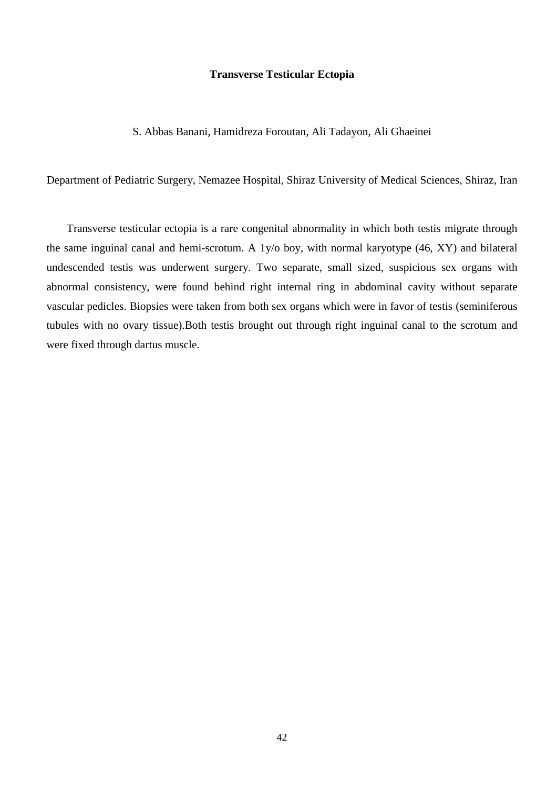#### **Transverse Testicular Ectopia**

## S. Abbas Banani, Hamidreza Foroutan, Ali Tadayon, Ali Ghaeinei

Department of Pediatric Surgery, Nemazee Hospital, Shiraz University of Medical Sciences, Shiraz, Iran

Transverse testicular ectopia is a rare congenital abnormality in which both testis migrate through the same inguinal canal and hemi-scrotum. A 1y/o boy, with normal karyotype (46, XY) and bilateral undescended testis was underwent surgery. Two separate, small sized, suspicious sex organs with abnormal consistency, were found behind right internal ring in abdominal cavity without separate vascular pedicles. Biopsies were taken from both sex organs which were in favor of testis (seminiferous tubules with no ovary tissue).Both testis brought out through right inguinal canal to the scrotum and were fixed through dartus muscle.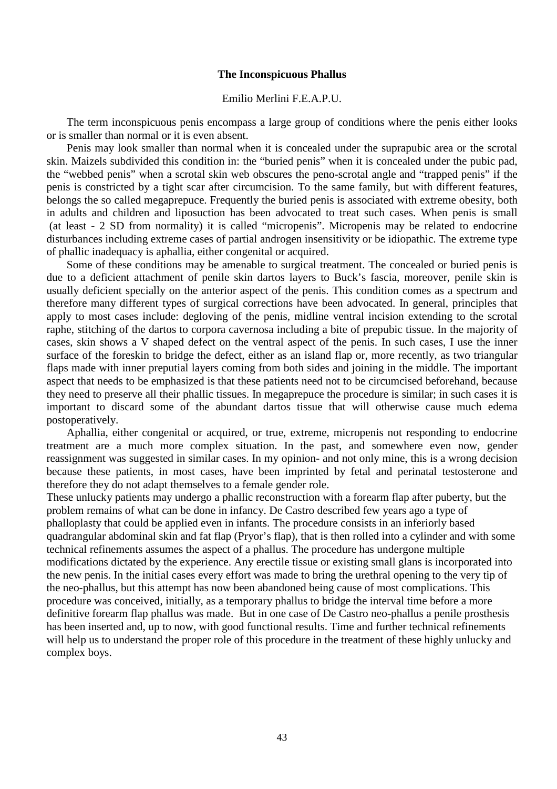#### **The Inconspicuous Phallus**

## Emilio Merlini F.E.A.P.U.

The term inconspicuous penis encompass a large group of conditions where the penis either looks or is smaller than normal or it is even absent.

Penis may look smaller than normal when it is concealed under the suprapubic area or the scrotal skin. Maizels subdivided this condition in: the "buried penis" when it is concealed under the pubic pad, the "webbed penis" when a scrotal skin web obscures the peno-scrotal angle and "trapped penis" if the penis is constricted by a tight scar after circumcision. To the same family, but with different features, belongs the so called megaprepuce. Frequently the buried penis is associated with extreme obesity, both in adults and children and liposuction has been advocated to treat such cases. When penis is small (at least - 2 SD from normality) it is called "micropenis". Micropenis may be related to endocrine disturbances including extreme cases of partial androgen insensitivity or be idiopathic. The extreme type of phallic inadequacy is aphallia, either congenital or acquired.

Some of these conditions may be amenable to surgical treatment. The concealed or buried penis is due to a deficient attachment of penile skin dartos layers to Buck's fascia, moreover, penile skin is usually deficient specially on the anterior aspect of the penis. This condition comes as a spectrum and therefore many different types of surgical corrections have been advocated. In general, principles that apply to most cases include: degloving of the penis, midline ventral incision extending to the scrotal raphe, stitching of the dartos to corpora cavernosa including a bite of prepubic tissue. In the majority of cases, skin shows a V shaped defect on the ventral aspect of the penis. In such cases, I use the inner surface of the foreskin to bridge the defect, either as an island flap or, more recently, as two triangular flaps made with inner preputial layers coming from both sides and joining in the middle. The important aspect that needs to be emphasized is that these patients need not to be circumcised beforehand, because they need to preserve all their phallic tissues. In megaprepuce the procedure is similar; in such cases it is important to discard some of the abundant dartos tissue that will otherwise cause much edema postoperatively.

Aphallia, either congenital or acquired, or true, extreme, micropenis not responding to endocrine treatment are a much more complex situation. In the past, and somewhere even now, gender reassignment was suggested in similar cases. In my opinion- and not only mine, this is a wrong decision because these patients, in most cases, have been imprinted by fetal and perinatal testosterone and therefore they do not adapt themselves to a female gender role.

These unlucky patients may undergo a phallic reconstruction with a forearm flap after puberty, but the problem remains of what can be done in infancy. De Castro described few years ago a type of phalloplasty that could be applied even in infants. The procedure consists in an inferiorly based quadrangular abdominal skin and fat flap (Pryor's flap), that is then rolled into a cylinder and with some technical refinements assumes the aspect of a phallus. The procedure has undergone multiple modifications dictated by the experience. Any erectile tissue or existing small glans is incorporated into the new penis. In the initial cases every effort was made to bring the urethral opening to the very tip of the neo-phallus, but this attempt has now been abandoned being cause of most complications. This procedure was conceived, initially, as a temporary phallus to bridge the interval time before a more definitive forearm flap phallus was made. But in one case of De Castro neo-phallus a penile prosthesis has been inserted and, up to now, with good functional results. Time and further technical refinements will help us to understand the proper role of this procedure in the treatment of these highly unlucky and complex boys.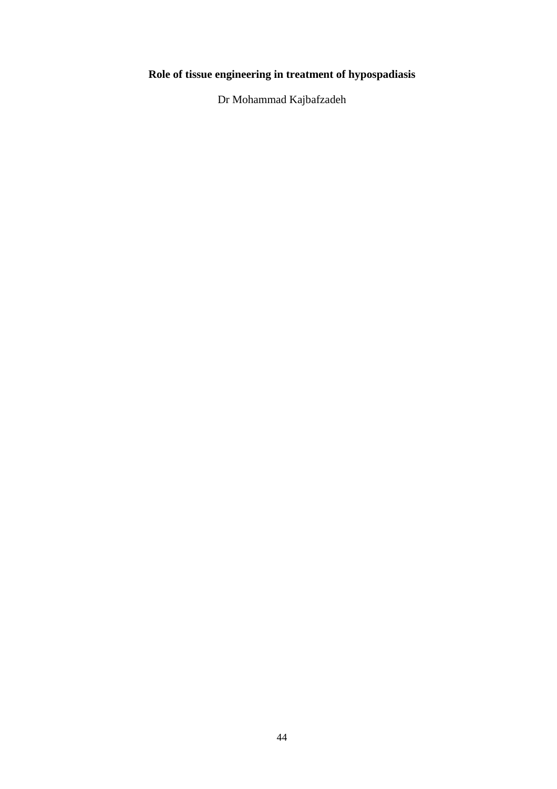# **Role of tissue engineering in treatment of hypospadiasis**

Dr Mohammad Kajbafzadeh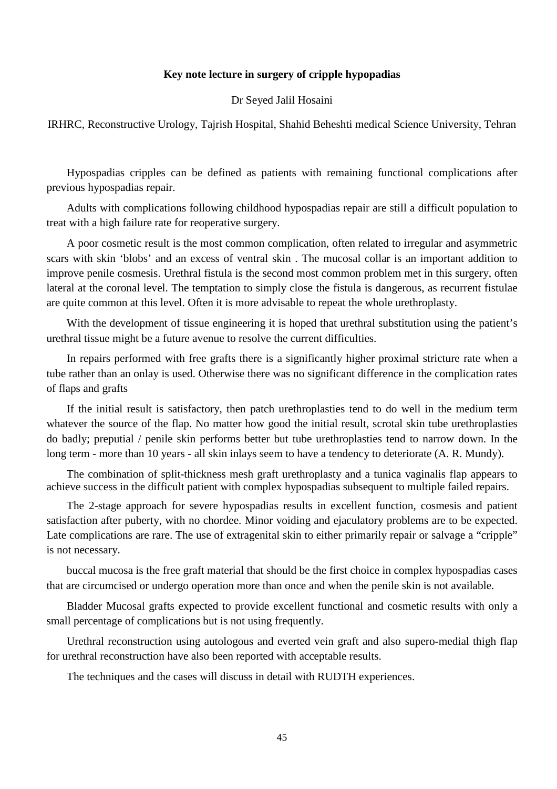## **Key note lecture in surgery of cripple hypopadias**

#### Dr Seyed Jalil Hosaini

IRHRC, Reconstructive Urology, Tajrish Hospital, Shahid Beheshti medical Science University, Tehran

Hypospadias cripples can be defined as patients with remaining functional complications after previous hypospadias repair.

Adults with complications following childhood hypospadias repair are still a difficult population to treat with a high failure rate for reoperative surgery.

A poor cosmetic result is the most common complication, often related to irregular and asymmetric scars with skin 'blobs' and an excess of ventral skin . The mucosal collar is an important addition to improve penile cosmesis. Urethral fistula is the second most common problem met in this surgery, often lateral at the coronal level. The temptation to simply close the fistula is dangerous, as recurrent fistulae are quite common at this level. Often it is more advisable to repeat the whole urethroplasty.

With the development of tissue engineering it is hoped that urethral substitution using the patient's urethral tissue might be a future avenue to resolve the current difficulties.

In repairs performed with free grafts there is a significantly higher proximal stricture rate when a tube rather than an onlay is used. Otherwise there was no significant difference in the complication rates of flaps and grafts

If the initial result is satisfactory, then patch urethroplasties tend to do well in the medium term whatever the source of the flap. No matter how good the initial result, scrotal skin tube urethroplasties do badly; preputial / penile skin performs better but tube urethroplasties tend to narrow down. In the long term - more than 10 years - all skin inlays seem to have a tendency to deteriorate (A. R. Mundy).

The combination of split-thickness mesh graft urethroplasty and a tunica vaginalis flap appears to achieve success in the difficult patient with complex hypospadias subsequent to multiple failed repairs.

The 2-stage approach for severe hypospadias results in excellent function, cosmesis and patient satisfaction after puberty, with no chordee. Minor voiding and ejaculatory problems are to be expected. Late complications are rare. The use of extragenital skin to either primarily repair or salvage a "cripple" is not necessary.

buccal mucosa is the free graft material that should be the first choice in complex hypospadias cases that are circumcised or undergo operation more than once and when the penile skin is not available.

Bladder Mucosal grafts expected to provide excellent functional and cosmetic results with only a small percentage of complications but is not using frequently.

Urethral reconstruction using autologous and everted vein graft and also supero-medial thigh flap for urethral reconstruction have also been reported with acceptable results.

The techniques and the cases will discuss in detail with RUDTH experiences.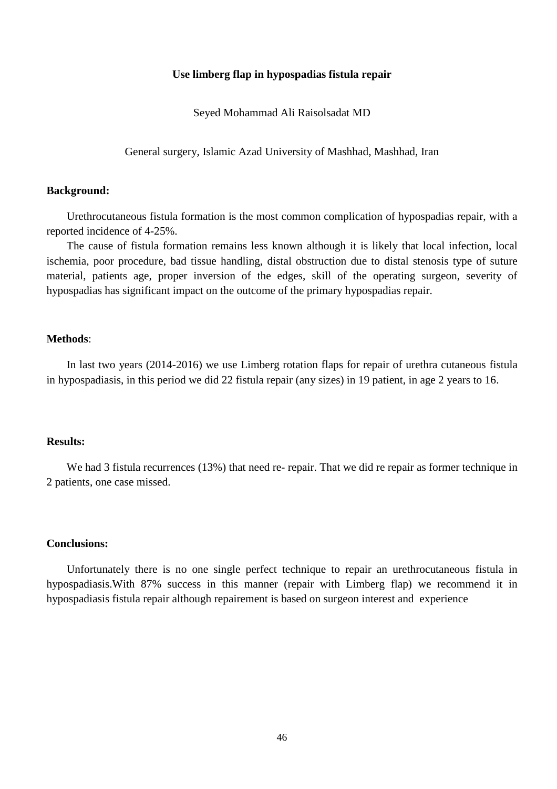## **Use limberg flap in hypospadias fistula repair**

Seyed Mohammad Ali Raisolsadat MD

General surgery, Islamic Azad University of Mashhad, Mashhad, Iran

## **Background:**

Urethrocutaneous fistula formation is the most common complication of hypospadias repair, with a reported incidence of 4-25%.

The cause of fistula formation remains less known although it is likely that local infection, local ischemia, poor procedure, bad tissue handling, distal obstruction due to distal stenosis type of suture material, patients age, proper inversion of the edges, skill of the operating surgeon, severity of hypospadias has significant impact on the outcome of the primary hypospadias repair.

#### **Methods**:

In last two years (2014-2016) we use Limberg rotation flaps for repair of urethra cutaneous fistula in hypospadiasis, in this period we did 22 fistula repair (any sizes) in 19 patient, in age 2 years to 16.

#### **Results:**

We had 3 fistula recurrences (13%) that need re- repair. That we did re repair as former technique in 2 patients, one case missed.

## **Conclusions:**

Unfortunately there is no one single perfect technique to repair an urethrocutaneous fistula in hypospadiasis.With 87% success in this manner (repair with Limberg flap) we recommend it in hypospadiasis fistula repair although repairement is based on surgeon interest and experience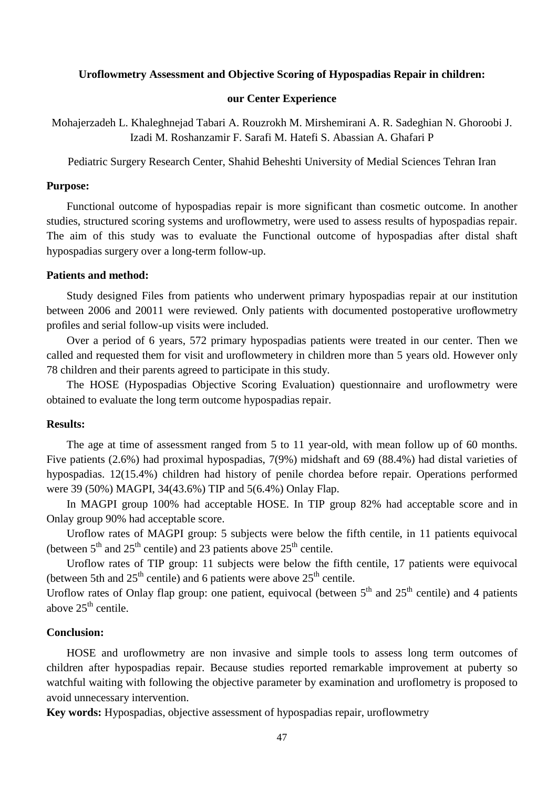#### **Uroflowmetry Assessment and Objective Scoring of Hypospadias Repair in children:**

# **our Center Experience**

Mohajerzadeh L. Khaleghnejad Tabari A. Rouzrokh M. Mirshemirani A. R. Sadeghian N. Ghoroobi J. Izadi M. Roshanzamir F. Sarafi M. Hatefi S. Abassian A. Ghafari P

Pediatric Surgery Research Center, Shahid Beheshti University of Medial Sciences Tehran Iran

#### **Purpose:**

Functional outcome of hypospadias repair is more significant than cosmetic outcome. In another studies, structured scoring systems and uroflowmetry, were used to assess results of hypospadias repair. The aim of this study was to evaluate the Functional outcome of hypospadias after distal shaft hypospadias surgery over a long-term follow-up.

#### **Patients and method:**

Study designed Files from patients who underwent primary hypospadias repair at our institution between 2006 and 20011 were reviewed. Only patients with documented postoperative uroflowmetry profiles and serial follow-up visits were included.

Over a period of 6 years, 572 primary hypospadias patients were treated in our center. Then we called and requested them for visit and uroflowmetery in children more than 5 years old. However only 78 children and their parents agreed to participate in this study.

The HOSE (Hypospadias Objective Scoring Evaluation) questionnaire and uroflowmetry were obtained to evaluate the long term outcome hypospadias repair.

#### **Results:**

The age at time of assessment ranged from 5 to 11 year-old, with mean follow up of 60 months. Five patients (2.6%) had proximal hypospadias, 7(9%) midshaft and 69 (88.4%) had distal varieties of hypospadias. 12(15.4%) children had history of penile chordea before repair. Operations performed were 39 (50%) MAGPI, 34(43.6%) TIP and 5(6.4%) Onlay Flap.

In MAGPI group 100% had acceptable HOSE. In TIP group 82% had acceptable score and in Onlay group 90% had acceptable score.

Uroflow rates of MAGPI group: 5 subjects were below the fifth centile, in 11 patients equivocal (between  $5<sup>th</sup>$  and  $25<sup>th</sup>$  centile) and 23 patients above  $25<sup>th</sup>$  centile.

Uroflow rates of TIP group: 11 subjects were below the fifth centile, 17 patients were equivocal (between 5th and  $25<sup>th</sup>$  centile) and 6 patients were above  $25<sup>th</sup>$  centile.

Uroflow rates of Onlay flap group: one patient, equivocal (between 5<sup>th</sup> and 25<sup>th</sup> centile) and 4 patients above  $25<sup>th</sup>$  centile.

# **Conclusion:**

HOSE and uroflowmetry are non invasive and simple tools to assess long term outcomes of children after hypospadias repair. Because studies reported remarkable improvement at puberty so watchful waiting with following the objective parameter by examination and uroflometry is proposed to avoid unnecessary intervention.

**Key words:** Hypospadias, objective assessment of hypospadias repair, uroflowmetry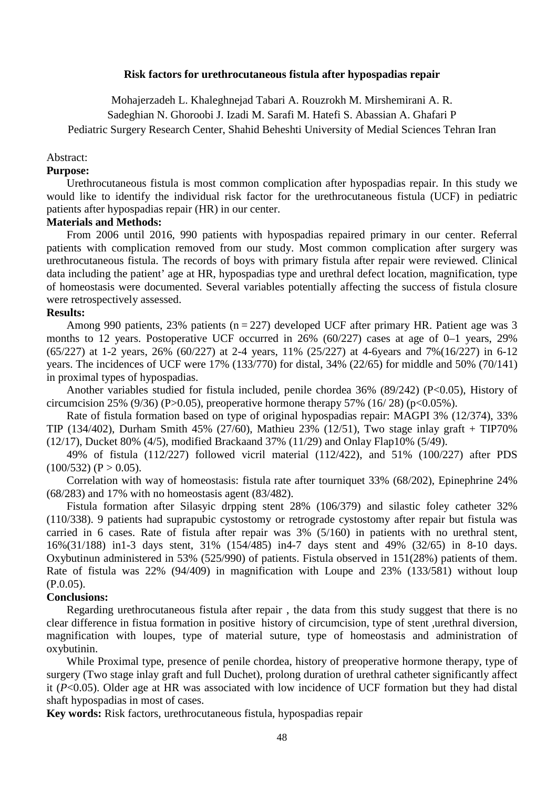#### **Risk factors for urethrocutaneous fistula after hypospadias repair**

Mohajerzadeh L. Khaleghnejad Tabari A. Rouzrokh M. Mirshemirani A. R.

Sadeghian N. Ghoroobi J. Izadi M. Sarafi M. Hatefi S. Abassian A. Ghafari P

Pediatric Surgery Research Center, Shahid Beheshti University of Medial Sciences Tehran Iran

## Abstract:

## **Purpose:**

Urethrocutaneous fistula is most common complication after hypospadias repair. In this study we would like to identify the individual risk factor for the urethrocutaneous fistula (UCF) in pediatric patients after hypospadias repair (HR) in our center.

# **Materials and Methods:**

From 2006 until 2016, 990 patients with hypospadias repaired primary in our center. Referral patients with complication removed from our study. Most common complication after surgery was urethrocutaneous fistula. The records of boys with primary fistula after repair were reviewed. Clinical data including the patient' age at HR, hypospadias type and urethral defect location, magnification, type of homeostasis were documented. Several variables potentially affecting the success of fistula closure were retrospectively assessed.

## **Results:**

Among 990 patients, 23% patients ( $n = 227$ ) developed UCF after primary HR. Patient age was 3 months to 12 years. Postoperative UCF occurred in 26% (60/227) cases at age of 0–1 years, 29% (65/227) at 1-2 years, 26% (60/227) at 2-4 years, 11% (25/227) at 4-6years and 7%(16/227) in 6-12 years. The incidences of UCF were 17% (133/770) for distal, 34% (22/65) for middle and 50% (70/141) in proximal types of hypospadias.

Another variables studied for fistula included, penile chordea 36% (89/242) (P<0.05), History of circumcision 25% (9/36) (P>0.05), preoperative hormone therapy 57% (16/28) (p<0.05%).

Rate of fistula formation based on type of original hypospadias repair: MAGPI 3% (12/374), 33% TIP (134/402), Durham Smith 45% (27/60), Mathieu 23% (12/51), Two stage inlay graft + TIP70% (12/17), Ducket 80% (4/5), modified Brackaand 37% (11/29) and Onlay Flap10% (5/49).

49% of fistula (112/227) followed vicril material (112/422), and 51% (100/227) after PDS  $(100/532)$  (P  $> 0.05$ ).

Correlation with way of homeostasis: fistula rate after tourniquet 33% (68/202), Epinephrine 24% (68/283) and 17% with no homeostasis agent (83/482).

Fistula formation after Silasyic drpping stent 28% (106/379) and silastic foley catheter 32% (110/338). 9 patients had suprapubic cystostomy or retrograde cystostomy after repair but fistula was carried in 6 cases. Rate of fistula after repair was 3% (5/160) in patients with no urethral stent, 16%(31/188) in1-3 days stent, 31% (154/485) in4-7 days stent and 49% (32/65) in 8-10 days. Oxybutinun administered in 53% (525/990) of patients. Fistula observed in 151(28%) patients of them. Rate of fistula was 22% (94/409) in magnification with Loupe and 23% (133/581) without loup (P.0.05).

## **Conclusions:**

Regarding urethrocutaneous fistula after repair , the data from this study suggest that there is no clear difference in fistua formation in positive history of circumcision, type of stent ,urethral diversion, magnification with loupes, type of material suture, type of homeostasis and administration of oxybutinin.

While Proximal type, presence of penile chordea, history of preoperative hormone therapy, type of surgery (Two stage inlay graft and full Duchet), prolong duration of urethral catheter significantly affect it (*P*<0.05). Older age at HR was associated with low incidence of UCF formation but they had distal shaft hypospadias in most of cases.

**Key words:** Risk factors, urethrocutaneous fistula, hypospadias repair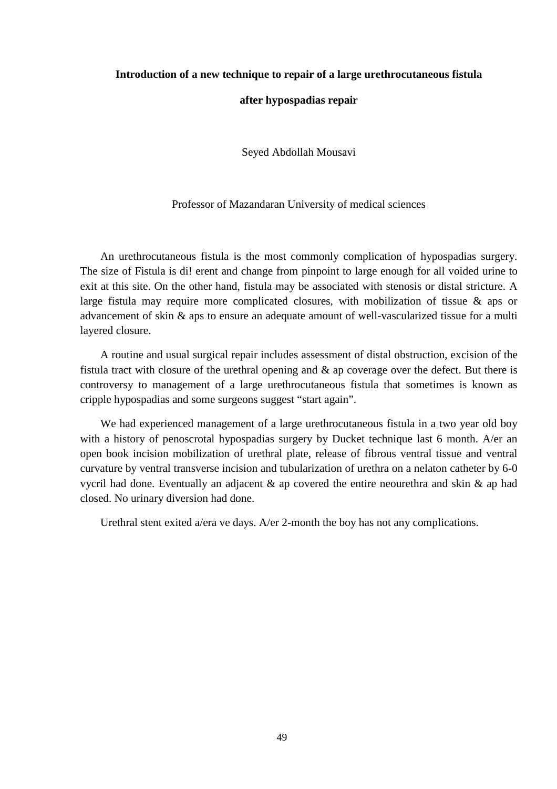## **Introduction of a new technique to repair of a large urethrocutaneous fistula**

#### **after hypospadias repair**

Seyed Abdollah Mousavi

Professor of Mazandaran University of medical sciences

An urethrocutaneous fistula is the most commonly complication of hypospadias surgery. The size of Fistula is di! erent and change from pinpoint to large enough for all voided urine to exit at this site. On the other hand, fistula may be associated with stenosis or distal stricture. A large fistula may require more complicated closures, with mobilization of tissue & aps or advancement of skin & aps to ensure an adequate amount of well-vascularized tissue for a multi layered closure.

A routine and usual surgical repair includes assessment of distal obstruction, excision of the fistula tract with closure of the urethral opening and & ap coverage over the defect. But there is controversy to management of a large urethrocutaneous fistula that sometimes is known as cripple hypospadias and some surgeons suggest "start again".

We had experienced management of a large urethrocutaneous fistula in a two year old boy with a history of penoscrotal hypospadias surgery by Ducket technique last 6 month. A/er an open book incision mobilization of urethral plate, release of fibrous ventral tissue and ventral curvature by ventral transverse incision and tubularization of urethra on a nelaton catheter by 6-0 vycril had done. Eventually an adjacent & ap covered the entire neourethra and skin & ap had closed. No urinary diversion had done.

Urethral stent exited a/era ve days. A/er 2-month the boy has not any complications.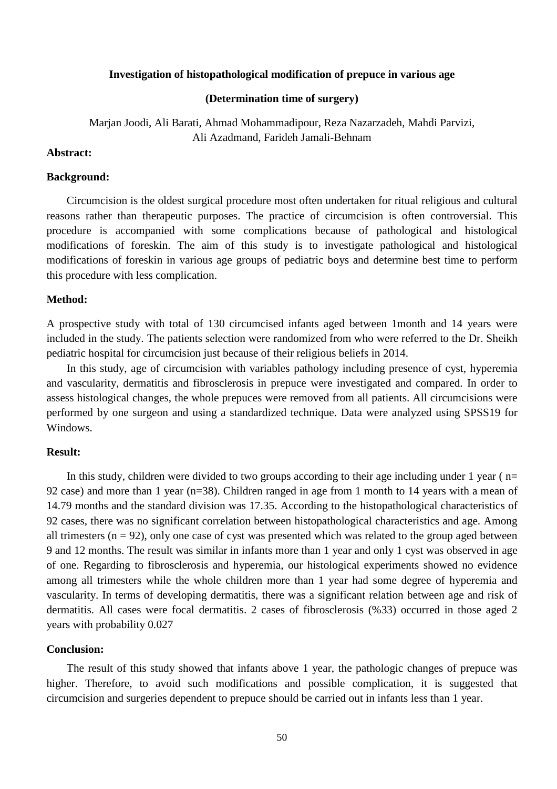#### **Investigation of histopathological modification of prepuce in various age**

## **(Determination time of surgery)**

Marjan Joodi, Ali Barati, Ahmad Mohammadipour, Reza Nazarzadeh, Mahdi Parvizi, Ali Azadmand, Farideh Jamali-Behnam

## **Abstract:**

#### **Background:**

Circumcision is the oldest surgical procedure most often undertaken for ritual religious and cultural reasons rather than therapeutic purposes. The practice of circumcision is often controversial. This procedure is accompanied with some complications because of pathological and histological modifications of foreskin. The aim of this study is to investigate pathological and histological modifications of foreskin in various age groups of pediatric boys and determine best time to perform this procedure with less complication.

#### **Method:**

A prospective study with total of 130 circumcised infants aged between 1month and 14 years were included in the study. The patients selection were randomized from who were referred to the Dr. Sheikh pediatric hospital for circumcision just because of their religious beliefs in 2014.

In this study, age of circumcision with variables pathology including presence of cyst, hyperemia and vascularity, dermatitis and fibrosclerosis in prepuce were investigated and compared. In order to assess histological changes, the whole prepuces were removed from all patients. All circumcisions were performed by one surgeon and using a standardized technique. Data were analyzed using SPSS19 for Windows.

## **Result:**

In this study, children were divided to two groups according to their age including under 1 year ( $n=$ 92 case) and more than 1 year (n=38). Children ranged in age from 1 month to 14 years with a mean of 14.79 months and the standard division was 17.35. According to the histopathological characteristics of 92 cases, there was no significant correlation between histopathological characteristics and age. Among all trimesters  $(n = 92)$ , only one case of cyst was presented which was related to the group aged between 9 and 12 months. The result was similar in infants more than 1 year and only 1 cyst was observed in age of one. Regarding to fibrosclerosis and hyperemia, our histological experiments showed no evidence among all trimesters while the whole children more than 1 year had some degree of hyperemia and vascularity. In terms of developing dermatitis, there was a significant relation between age and risk of dermatitis. All cases were focal dermatitis. 2 cases of fibrosclerosis (%33) occurred in those aged 2 years with probability 0.027

#### **Conclusion:**

The result of this study showed that infants above 1 year, the pathologic changes of prepuce was higher. Therefore, to avoid such modifications and possible complication, it is suggested that circumcision and surgeries dependent to prepuce should be carried out in infants less than 1 year.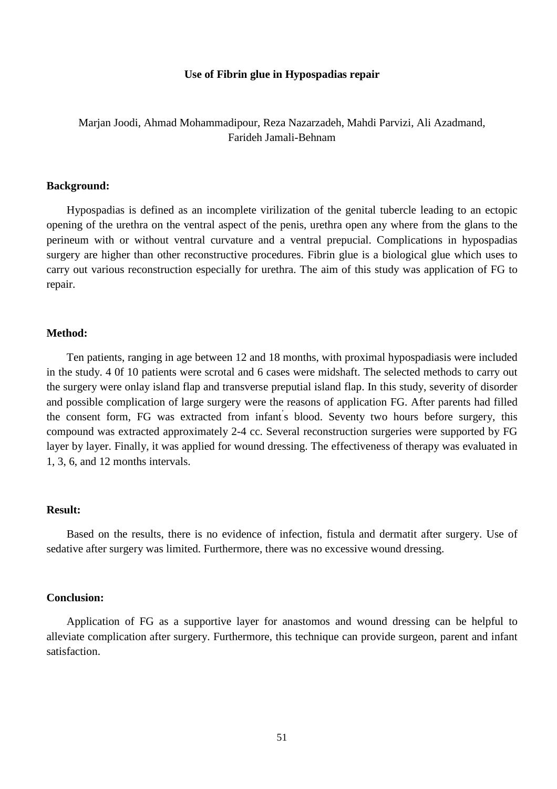#### **Use of Fibrin glue in Hypospadias repair**

# Marjan Joodi, Ahmad Mohammadipour, Reza Nazarzadeh, Mahdi Parvizi, Ali Azadmand, Farideh Jamali-Behnam

#### **Background:**

Hypospadias is defined as an incomplete virilization of the genital tubercle leading to an ectopic opening of the urethra on the ventral aspect of the penis, urethra open any where from the glans to the perineum with or without ventral curvature and a ventral prepucial. Complications in hypospadias surgery are higher than other reconstructive procedures. Fibrin glue is a biological glue which uses to carry out various reconstruction especially for urethra. The aim of this study was application of FG to repair.

## **Method:**

Ten patients, ranging in age between 12 and 18 months, with proximal hypospadiasis were included in the study. 4 0f 10 patients were scrotal and 6 cases were midshaft. The selected methods to carry out the surgery were onlay island flap and transverse preputial island flap. In this study, severity of disorder and possible complication of large surgery were the reasons of application FG. After parents had filled the consent form, FG was extracted from infant' s blood. Seventy two hours before surgery, this compound was extracted approximately 2-4 cc. Several reconstruction surgeries were supported by FG layer by layer. Finally, it was applied for wound dressing. The effectiveness of therapy was evaluated in 1, 3, 6, and 12 months intervals.

## **Result:**

Based on the results, there is no evidence of infection, fistula and dermatit after surgery. Use of sedative after surgery was limited. Furthermore, there was no excessive wound dressing.

#### **Conclusion:**

Application of FG as a supportive layer for anastomos and wound dressing can be helpful to alleviate complication after surgery. Furthermore, this technique can provide surgeon, parent and infant satisfaction.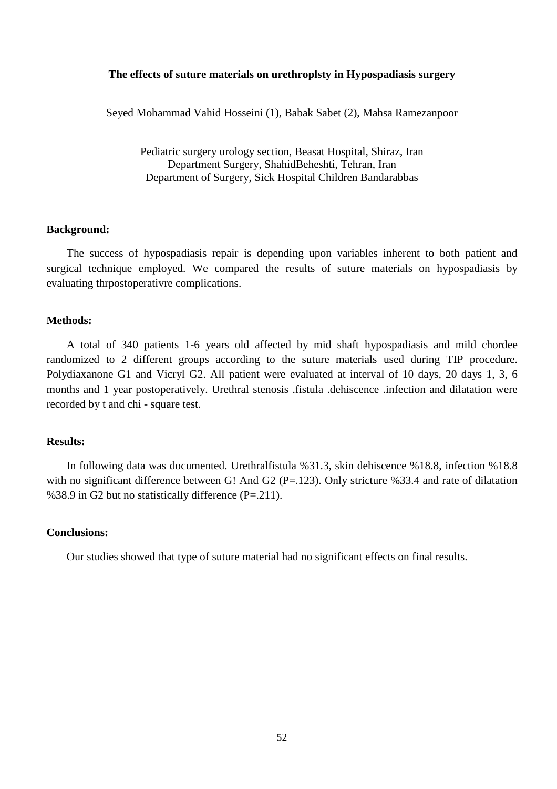## **The effects of suture materials on urethroplsty in Hypospadiasis surgery**

Seyed Mohammad Vahid Hosseini (1), Babak Sabet (2), Mahsa Ramezanpoor

Pediatric surgery urology section, Beasat Hospital, Shiraz, Iran Department Surgery, ShahidBeheshti, Tehran, Iran Department of Surgery, Sick Hospital Children Bandarabbas

#### **Background:**

The success of hypospadiasis repair is depending upon variables inherent to both patient and surgical technique employed. We compared the results of suture materials on hypospadiasis by evaluating thrpostoperativre complications.

#### **Methods:**

A total of 340 patients 1-6 years old affected by mid shaft hypospadiasis and mild chordee randomized to 2 different groups according to the suture materials used during TIP procedure. Polydiaxanone G1 and Vicryl G2. All patient were evaluated at interval of 10 days, 20 days 1, 3, 6 months and 1 year postoperatively. Urethral stenosis .fistula .dehiscence .infection and dilatation were recorded by t and chi - square test.

#### **Results:**

In following data was documented. Urethralfistula %31.3, skin dehiscence %18.8, infection %18.8 with no significant difference between G! And G2 (P=.123). Only stricture %33.4 and rate of dilatation %38.9 in G2 but no statistically difference (P=.211).

## **Conclusions:**

Our studies showed that type of suture material had no significant effects on final results.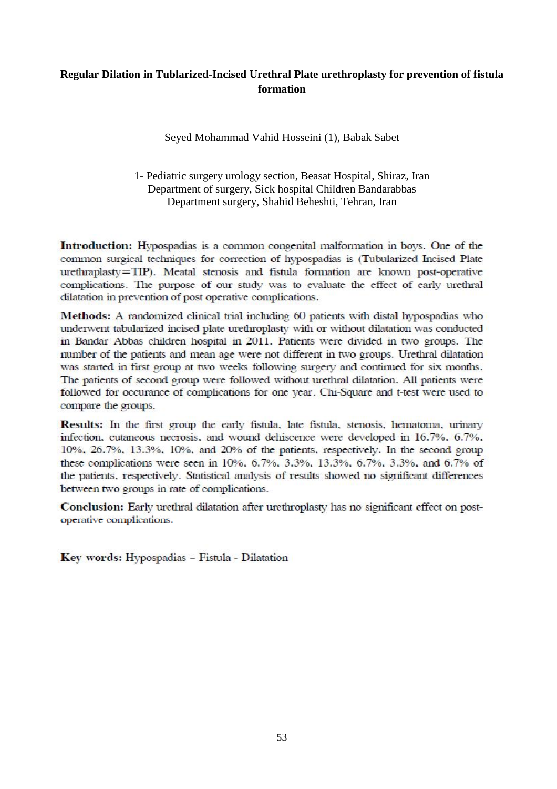# **Regular Dilation in Tublarized-Incised Urethral Plate urethroplasty for prevention of fistula formation**

Seyed Mohammad Vahid Hosseini (1), Babak Sabet

1- Pediatric surgery urology section, Beasat Hospital, Shiraz, Iran Department of surgery, Sick hospital Children Bandarabbas Department surgery, Shahid Beheshti, Tehran, Iran

Introduction: Hypospadias is a common congenital malformation in boys. One of the common surgical techniques for correction of hypospadias is (Tubularized Incised Plate urethraplasty=TIP). Meatal stenosis and fistula formation are known post-operative complications. The purpose of our study was to evaluate the effect of early urethral dilatation in prevention of post operative complications.

Methods: A randomized clinical trial including 60 patients with distal hypospadias who underwent tabularized incised plate urethroplasty with or without dilatation was conducted in Bandar Abbas children hospital in 2011. Patients were divided in two groups. The number of the patients and mean age were not different in two groups. Urethral dilatation was started in first group at two weeks following surgery and continued for six months. The patients of second group were followed without urethral dilatation. All patients were followed for occurance of complications for one year. Chi-Square and t-test were used to compare the groups.

Results: In the first group the early fistula, late fistula, stenosis, hematoma, urinary infection, cutaneous necrosis, and wound dehiscence were developed in 16.7%, 6.7%, 10%, 26.7%, 13.3%, 10%, and 20% of the patients, respectively. In the second group these complications were seen in 10%, 6.7%, 3.3%, 13.3%, 6.7%, 3.3%, and 6.7% of the patients, respectively. Statistical analysis of results showed no significant differences between two groups in rate of complications.

Conclusion: Early urethral dilatation after urethroplasty has no significant effect on postoperative complications.

Key words: Hypospadias - Fistula - Dilatation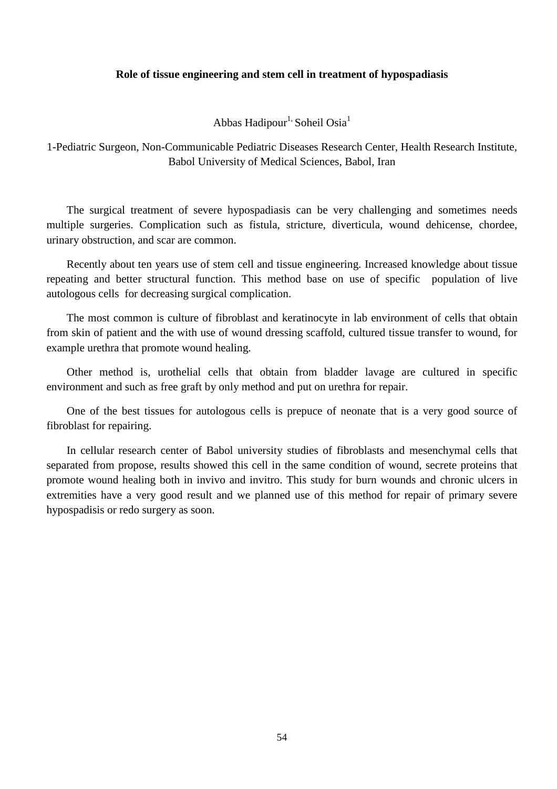## **Role of tissue engineering and stem cell in treatment of hypospadiasis**

Abbas Hadipour<sup>1,</sup> Soheil Osia<sup>1</sup>

1-Pediatric Surgeon, Non-Communicable Pediatric Diseases Research Center, Health Research Institute, Babol University of Medical Sciences, Babol, Iran

The surgical treatment of severe hypospadiasis can be very challenging and sometimes needs multiple surgeries. Complication such as fistula, stricture, diverticula, wound dehicense, chordee, urinary obstruction, and scar are common.

Recently about ten years use of stem cell and tissue engineering. Increased knowledge about tissue repeating and better structural function. This method base on use of specific population of live autologous cells for decreasing surgical complication.

The most common is culture of fibroblast and keratinocyte in lab environment of cells that obtain from skin of patient and the with use of wound dressing scaffold, cultured tissue transfer to wound, for example urethra that promote wound healing.

Other method is, urothelial cells that obtain from bladder lavage are cultured in specific environment and such as free graft by only method and put on urethra for repair.

One of the best tissues for autologous cells is prepuce of neonate that is a very good source of fibroblast for repairing.

In cellular research center of Babol university studies of fibroblasts and mesenchymal cells that separated from propose, results showed this cell in the same condition of wound, secrete proteins that promote wound healing both in invivo and invitro. This study for burn wounds and chronic ulcers in extremities have a very good result and we planned use of this method for repair of primary severe hypospadisis or redo surgery as soon.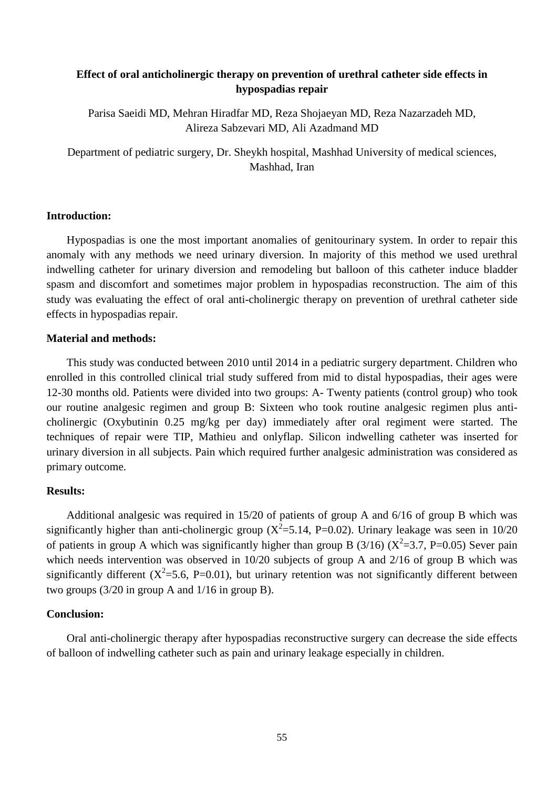# **Effect of oral anticholinergic therapy on prevention of urethral catheter side effects in hypospadias repair**

Parisa Saeidi MD, Mehran Hiradfar MD, Reza Shojaeyan MD, Reza Nazarzadeh MD, Alireza Sabzevari MD, Ali Azadmand MD

Department of pediatric surgery, Dr. Sheykh hospital, Mashhad University of medical sciences, Mashhad, Iran

# **Introduction:**

Hypospadias is one the most important anomalies of genitourinary system. In order to repair this anomaly with any methods we need urinary diversion. In majority of this method we used urethral indwelling catheter for urinary diversion and remodeling but balloon of this catheter induce bladder spasm and discomfort and sometimes major problem in hypospadias reconstruction. The aim of this study was evaluating the effect of oral anti-cholinergic therapy on prevention of urethral catheter side effects in hypospadias repair.

## **Material and methods:**

This study was conducted between 2010 until 2014 in a pediatric surgery department. Children who enrolled in this controlled clinical trial study suffered from mid to distal hypospadias, their ages were 12-30 months old. Patients were divided into two groups: A- Twenty patients (control group) who took our routine analgesic regimen and group B: Sixteen who took routine analgesic regimen plus anticholinergic (Oxybutinin 0.25 mg/kg per day) immediately after oral regiment were started. The techniques of repair were TIP, Mathieu and onlyflap. Silicon indwelling catheter was inserted for urinary diversion in all subjects. Pain which required further analgesic administration was considered as primary outcome.

# **Results:**

Additional analgesic was required in 15/20 of patients of group A and 6/16 of group B which was significantly higher than anti-cholinergic group ( $X^2$ =5.14, P=0.02). Urinary leakage was seen in 10/20 of patients in group A which was significantly higher than group B  $(3/16)$   $(X^2=3.7, P=0.05)$  Sever pain which needs intervention was observed in 10/20 subjects of group A and 2/16 of group B which was significantly different  $(X^2=5.6, P=0.01)$ , but urinary retention was not significantly different between two groups (3/20 in group A and 1/16 in group B).

# **Conclusion:**

Oral anti-cholinergic therapy after hypospadias reconstructive surgery can decrease the side effects of balloon of indwelling catheter such as pain and urinary leakage especially in children.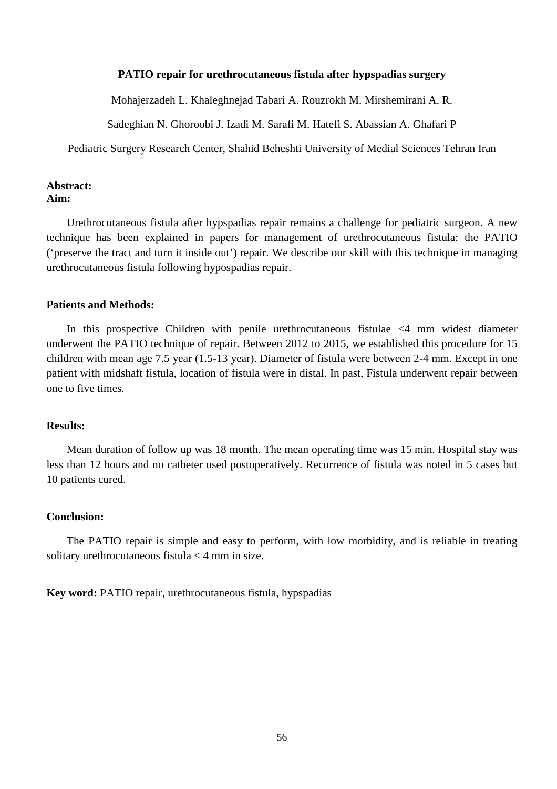#### **PATIO repair for urethrocutaneous fistula after hypspadias surgery**

Mohajerzadeh L. Khaleghnejad Tabari A. Rouzrokh M. Mirshemirani A. R.

Sadeghian N. Ghoroobi J. Izadi M. Sarafi M. Hatefi S. Abassian A. Ghafari P

Pediatric Surgery Research Center, Shahid Beheshti University of Medial Sciences Tehran Iran

#### **Abstract: Aim:**

Urethrocutaneous fistula after hypspadias repair remains a challenge for pediatric surgeon. A new technique has been explained in papers for management of urethrocutaneous fistula: the PATIO ('preserve the tract and turn it inside out') repair. We describe our skill with this technique in managing urethrocutaneous fistula following hypospadias repair.

## **Patients and Methods:**

In this prospective Children with penile urethrocutaneous fistulae <4 mm widest diameter underwent the PATIO technique of repair. Between 2012 to 2015, we established this procedure for 15 children with mean age 7.5 year (1.5-13 year). Diameter of fistula were between 2-4 mm. Except in one patient with midshaft fistula, location of fistula were in distal. In past, Fistula underwent repair between one to five times.

# **Results:**

Mean duration of follow up was 18 month. The mean operating time was 15 min. Hospital stay was less than 12 hours and no catheter used postoperatively. Recurrence of fistula was noted in 5 cases but 10 patients cured.

## **Conclusion:**

The PATIO repair is simple and easy to perform, with low morbidity, and is reliable in treating solitary urethrocutaneous fistula < 4 mm in size.

**Key word:** PATIO repair, urethrocutaneous fistula, hypspadias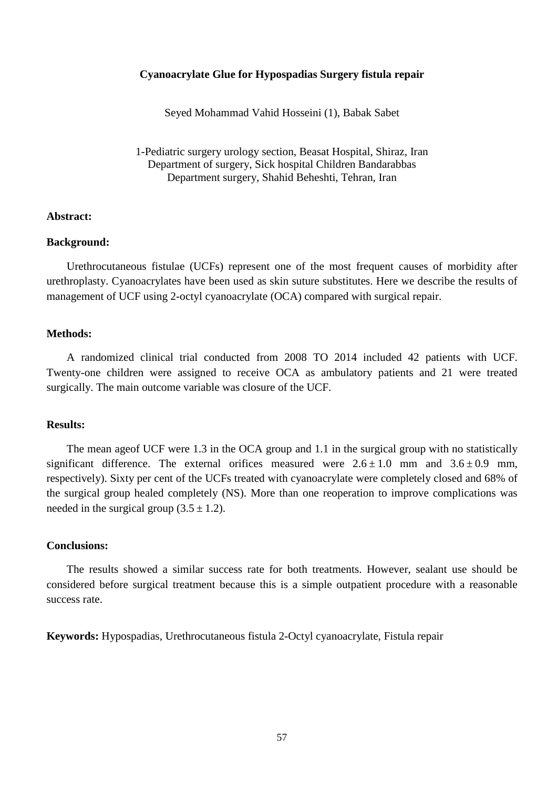## **Cyanoacrylate Glue for Hypospadias Surgery fistula repair**

Seyed Mohammad Vahid Hosseini (1), Babak Sabet

1-Pediatric surgery urology section, Beasat Hospital, Shiraz, Iran Department of surgery, Sick hospital Children Bandarabbas Department surgery, Shahid Beheshti, Tehran, Iran

## **Abstract:**

## **Background:**

Urethrocutaneous fistulae (UCFs) represent one of the most frequent causes of morbidity after urethroplasty. Cyanoacrylates have been used as skin suture substitutes. Here we describe the results of management of UCF using 2-octyl cyanoacrylate (OCA) compared with surgical repair.

# **Methods:**

A randomized clinical trial conducted from 2008 TO 2014 included 42 patients with UCF. Twenty-one children were assigned to receive OCA as ambulatory patients and 21 were treated surgically. The main outcome variable was closure of the UCF.

## **Results:**

The mean ageof UCF were 1.3 in the OCA group and 1.1 in the surgical group with no statistically significant difference. The external orifices measured were  $2.6 \pm 1.0$  mm and  $3.6 \pm 0.9$  mm, respectively). Sixty per cent of the UCFs treated with cyanoacrylate were completely closed and 68% of the surgical group healed completely (NS). More than one reoperation to improve complications was needed in the surgical group  $(3.5 \pm 1.2)$ .

#### **Conclusions:**

The results showed a similar success rate for both treatments. However, sealant use should be considered before surgical treatment because this is a simple outpatient procedure with a reasonable success rate.

**Keywords:** Hypospadias, Urethrocutaneous fistula 2-Octyl cyanoacrylate, Fistula repair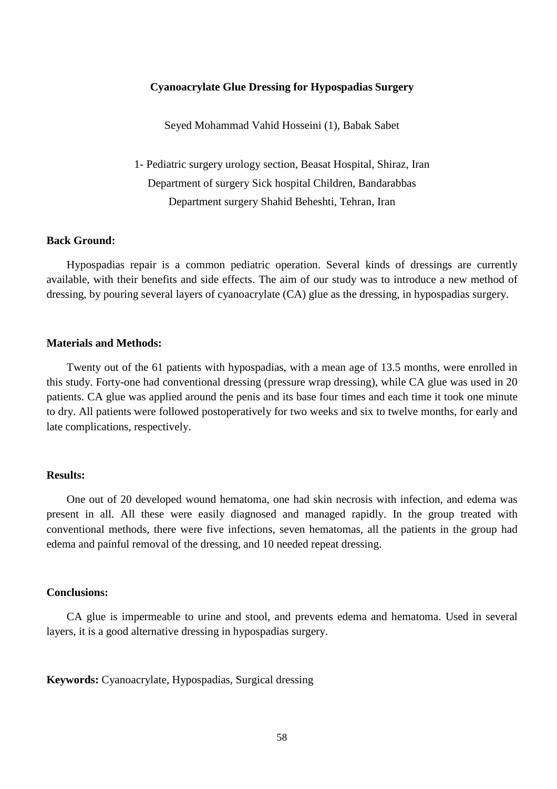#### **Cyanoacrylate Glue Dressing for Hypospadias Surgery**

Seyed Mohammad Vahid Hosseini (1), Babak Sabet

1- Pediatric surgery urology section, Beasat Hospital, Shiraz, Iran Department of surgery Sick hospital Children, Bandarabbas Department surgery Shahid Beheshti, Tehran, Iran

## **Back Ground:**

Hypospadias repair is a common pediatric operation. Several kinds of dressings are currently available, with their benefits and side effects. The aim of our study was to introduce a new method of dressing, by pouring several layers of cyanoacrylate (CA) glue as the dressing, in hypospadias surgery.

## **Materials and Methods:**

Twenty out of the 61 patients with hypospadias, with a mean age of 13.5 months, were enrolled in this study. Forty-one had conventional dressing (pressure wrap dressing), while CA glue was used in 20 patients. CA glue was applied around the penis and its base four times and each time it took one minute to dry. All patients were followed postoperatively for two weeks and six to twelve months, for early and late complications, respectively.

#### **Results:**

One out of 20 developed wound hematoma, one had skin necrosis with infection, and edema was present in all. All these were easily diagnosed and managed rapidly. In the group treated with conventional methods, there were five infections, seven hematomas, all the patients in the group had edema and painful removal of the dressing, and 10 needed repeat dressing.

## **Conclusions:**

CA glue is impermeable to urine and stool, and prevents edema and hematoma. Used in several layers, it is a good alternative dressing in hypospadias surgery.

**Keywords:** Cyanoacrylate, Hypospadias, Surgical dressing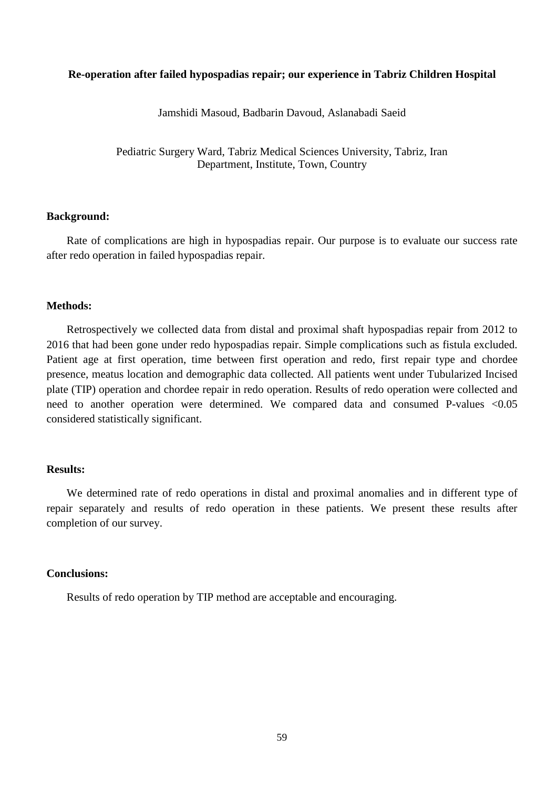## **Re-operation after failed hypospadias repair; our experience in Tabriz Children Hospital**

Jamshidi Masoud, Badbarin Davoud, Aslanabadi Saeid

Pediatric Surgery Ward, Tabriz Medical Sciences University, Tabriz, Iran Department, Institute, Town, Country

## **Background:**

Rate of complications are high in hypospadias repair. Our purpose is to evaluate our success rate after redo operation in failed hypospadias repair.

#### **Methods:**

Retrospectively we collected data from distal and proximal shaft hypospadias repair from 2012 to 2016 that had been gone under redo hypospadias repair. Simple complications such as fistula excluded. Patient age at first operation, time between first operation and redo, first repair type and chordee presence, meatus location and demographic data collected. All patients went under Tubularized Incised plate (TIP) operation and chordee repair in redo operation. Results of redo operation were collected and need to another operation were determined. We compared data and consumed P-values <0.05 considered statistically significant.

## **Results:**

We determined rate of redo operations in distal and proximal anomalies and in different type of repair separately and results of redo operation in these patients. We present these results after completion of our survey.

## **Conclusions:**

Results of redo operation by TIP method are acceptable and encouraging.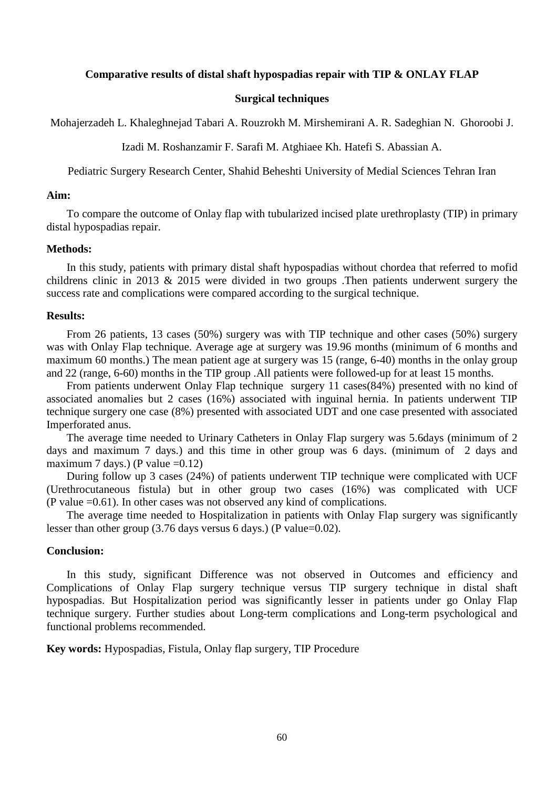#### **Comparative results of distal shaft hypospadias repair with TIP & ONLAY FLAP**

#### **Surgical techniques**

Mohajerzadeh L. Khaleghnejad Tabari A. Rouzrokh M. Mirshemirani A. R. Sadeghian N. Ghoroobi J.

Izadi M. Roshanzamir F. Sarafi M. Atghiaee Kh. Hatefi S. Abassian A.

Pediatric Surgery Research Center, Shahid Beheshti University of Medial Sciences Tehran Iran

#### **Aim:**

To compare the outcome of Onlay flap with tubularized incised plate urethroplasty (TIP) in primary distal hypospadias repair.

#### **Methods:**

In this study, patients with primary distal shaft hypospadias without chordea that referred to mofid childrens clinic in 2013 & 2015 were divided in two groups .Then patients underwent surgery the success rate and complications were compared according to the surgical technique.

#### **Results:**

From 26 patients, 13 cases (50%) surgery was with TIP technique and other cases (50%) surgery was with Onlay Flap technique. Average age at surgery was 19.96 months (minimum of 6 months and maximum 60 months.) The mean patient age at surgery was 15 (range, 6-40) months in the onlay group and 22 (range, 6-60) months in the TIP group .All patients were followed-up for at least 15 months.

From patients underwent Onlay Flap technique surgery 11 cases(84%) presented with no kind of associated anomalies but 2 cases (16%) associated with inguinal hernia. In patients underwent TIP technique surgery one case (8%) presented with associated UDT and one case presented with associated Imperforated anus.

The average time needed to Urinary Catheters in Onlay Flap surgery was 5.6days (minimum of 2 days and maximum 7 days.) and this time in other group was 6 days. (minimum of 2 days and maximum 7 days.) (P value  $=0.12$ )

During follow up 3 cases (24%) of patients underwent TIP technique were complicated with UCF (Urethrocutaneous fistula) but in other group two cases (16%) was complicated with UCF (P value =0.61). In other cases was not observed any kind of complications.

The average time needed to Hospitalization in patients with Onlay Flap surgery was significantly lesser than other group  $(3.76 \text{ days} \times 6 \text{ days})$  (P value=0.02).

## **Conclusion:**

In this study, significant Difference was not observed in Outcomes and efficiency and Complications of Onlay Flap surgery technique versus TIP surgery technique in distal shaft hypospadias. But Hospitalization period was significantly lesser in patients under go Onlay Flap technique surgery. Further studies about Long-term complications and Long-term psychological and functional problems recommended.

**Key words:** Hypospadias, Fistula, Onlay flap surgery, TIP Procedure